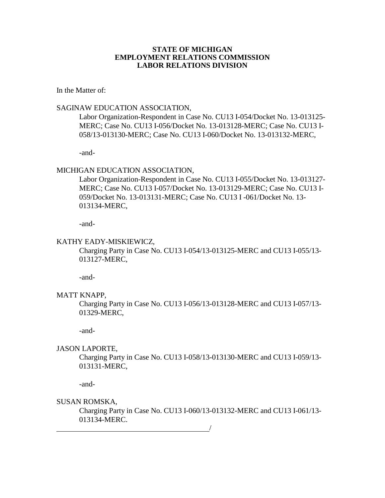### **STATE OF MICHIGAN EMPLOYMENT RELATIONS COMMISSION LABOR RELATIONS DIVISION**

In the Matter of:

### SAGINAW EDUCATION ASSOCIATION,

Labor Organization-Respondent in Case No. CU13 I-054/Docket No. 13-013125- MERC; Case No. CU13 I-056/Docket No. 13-013128-MERC; Case No. CU13 I-058/13-013130-MERC; Case No. CU13 I-060/Docket No. 13-013132-MERC,

-and-

## MICHIGAN EDUCATION ASSOCIATION,

Labor Organization-Respondent in Case No. CU13 I-055/Docket No. 13-013127- MERC; Case No. CU13 I-057/Docket No. 13-013129-MERC; Case No. CU13 I-059/Docket No. 13-013131-MERC; Case No. CU13 I -061/Docket No. 13- 013134-MERC,

-and-

#### KATHY EADY-MISKIEWICZ,

Charging Party in Case No. CU13 I-054/13-013125-MERC and CU13 I-055/13- 013127-MERC,

-and-

#### MATT KNAPP,

Charging Party in Case No. CU13 I-056/13-013128-MERC and CU13 I-057/13- 01329-MERC,

-and-

## JASON LAPORTE,

Charging Party in Case No. CU13 I-058/13-013130-MERC and CU13 I-059/13- 013131-MERC,

-and-

### SUSAN ROMSKA,

Charging Party in Case No. CU13 I-060/13-013132-MERC and CU13 I-061/13- 013134-MERC.

<u>/</u>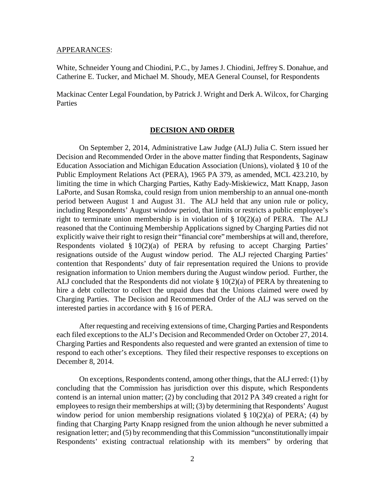#### APPEARANCES:

White, Schneider Young and Chiodini, P.C., by James J. Chiodini, Jeffrey S. Donahue, and Catherine E. Tucker, and Michael M. Shoudy, MEA General Counsel, for Respondents

Mackinac Center Legal Foundation, by Patrick J. Wright and Derk A. Wilcox, for Charging **Parties** 

### **DECISION AND ORDER**

On September 2, 2014, Administrative Law Judge (ALJ) Julia C. Stern issued her Decision and Recommended Order in the above matter finding that Respondents, Saginaw Education Association and Michigan Education Association (Unions), violated § 10 of the Public Employment Relations Act (PERA), 1965 PA 379, as amended, MCL 423.210, by limiting the time in which Charging Parties, Kathy Eady-Miskiewicz, Matt Knapp, Jason LaPorte, and Susan Romska, could resign from union membership to an annual one-month period between August 1 and August 31. The ALJ held that any union rule or policy, including Respondents' August window period, that limits or restricts a public employee's right to terminate union membership is in violation of  $\S$  10(2)(a) of PERA. The ALJ reasoned that the Continuing Membership Applications signed by Charging Parties did not explicitly waive their right to resign their "financial core" memberships at will and, therefore, Respondents violated § 10(2)(a) of PERA by refusing to accept Charging Parties' resignations outside of the August window period. The ALJ rejected Charging Parties' contention that Respondents' duty of fair representation required the Unions to provide resignation information to Union members during the August window period. Further, the ALJ concluded that the Respondents did not violate § 10(2)(a) of PERA by threatening to hire a debt collector to collect the unpaid dues that the Unions claimed were owed by Charging Parties. The Decision and Recommended Order of the ALJ was served on the interested parties in accordance with § 16 of PERA.

After requesting and receiving extensions of time, Charging Parties and Respondents each filed exceptions to the ALJ's Decision and Recommended Order on October 27, 2014. Charging Parties and Respondents also requested and were granted an extension of time to respond to each other's exceptions. They filed their respective responses to exceptions on December 8, 2014.

On exceptions, Respondents contend, among other things, that the ALJ erred: (1) by concluding that the Commission has jurisdiction over this dispute, which Respondents contend is an internal union matter; (2) by concluding that 2012 PA 349 created a right for employees to resign their memberships at will; (3) by determining that Respondents' August window period for union membership resignations violated  $\S 10(2)(a)$  of PERA; (4) by finding that Charging Party Knapp resigned from the union although he never submitted a resignation letter; and (5) by recommending that this Commission "unconstitutionally impair Respondents' existing contractual relationship with its members" by ordering that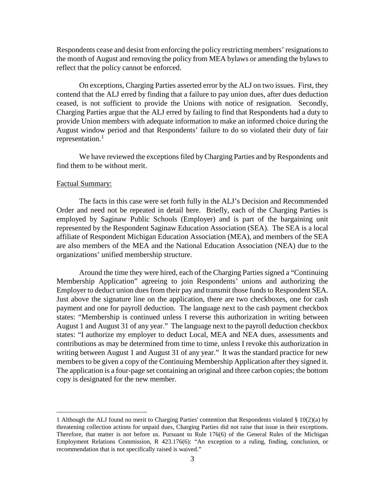Respondents cease and desist from enforcing the policy restricting members' resignations to the month of August and removing the policy from MEA bylaws or amending the bylaws to reflect that the policy cannot be enforced.

On exceptions, Charging Parties asserted error by the ALJ on two issues. First, they contend that the ALJ erred by finding that a failure to pay union dues, after dues deduction ceased, is not sufficient to provide the Unions with notice of resignation. Secondly, Charging Parties argue that the ALJ erred by failing to find that Respondents had a duty to provide Union members with adequate information to make an informed choice during the August window period and that Respondents' failure to do so violated their duty of fair representation.<sup>[1](#page-2-0)</sup>

We have reviewed the exceptions filed by Charging Parties and by Respondents and find them to be without merit.

#### Factual Summary:

 $\overline{a}$ 

The facts in this case were set forth fully in the ALJ's Decision and Recommended Order and need not be repeated in detail here. Briefly, each of the Charging Parties is employed by Saginaw Public Schools (Employer) and is part of the bargaining unit represented by the Respondent Saginaw Education Association (SEA). The SEA is a local affiliate of Respondent Michigan Education Association (MEA), and members of the SEA are also members of the MEA and the National Education Association (NEA) due to the organizations' unified membership structure.

Around the time they were hired, each of the Charging Parties signed a "Continuing Membership Application" agreeing to join Respondents' unions and authorizing the Employer to deduct union dues from their pay and transmit those funds to Respondent SEA. Just above the signature line on the application, there are two checkboxes, one for cash payment and one for payroll deduction. The language next to the cash payment checkbox states: "Membership is continued unless I reverse this authorization in writing between August 1 and August 31 of any year." The language next to the payroll deduction checkbox states: "I authorize my employer to deduct Local, MEA and NEA dues, assessments and contributions as may be determined from time to time, unless I revoke this authorization in writing between August 1 and August 31 of any year." It was the standard practice for new members to be given a copy of the Continuing Membership Application after they signed it. The application is a four-page set containing an original and three carbon copies; the bottom copy is designated for the new member.

<span id="page-2-0"></span><sup>1</sup> Although the ALJ found no merit to Charging Parties' contention that Respondents violated § 10(2)(a) by threatening collection actions for unpaid dues, Charging Parties did not raise that issue in their exceptions. Therefore, that matter is not before us. Pursuant to Rule 176(6) of the General Rules of the Michigan Employment Relations Commission, R 423.176(6): "An exception to a ruling, finding, conclusion, or recommendation that is not specifically raised is waived."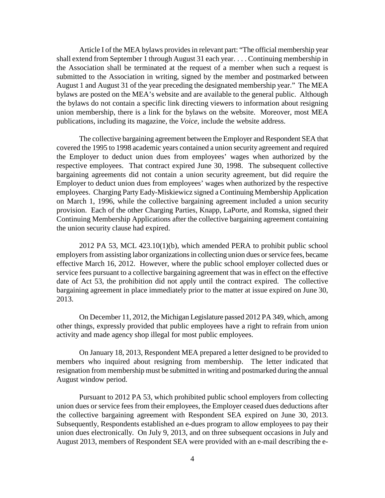Article I of the MEA bylaws provides in relevant part: "The official membership year shall extend from September 1 through August 31 each year. . . . Continuing membership in the Association shall be terminated at the request of a member when such a request is submitted to the Association in writing, signed by the member and postmarked between August 1 and August 31 of the year preceding the designated membership year." The MEA bylaws are posted on the MEA's website and are available to the general public. Although the bylaws do not contain a specific link directing viewers to information about resigning union membership, there is a link for the bylaws on the website. Moreover, most MEA publications, including its magazine, the *Voice,* include the website address.

The collective bargaining agreement between the Employer and Respondent SEA that covered the 1995 to 1998 academic years contained a union security agreement and required the Employer to deduct union dues from employees' wages when authorized by the respective employees. That contract expired June 30, 1998. The subsequent collective bargaining agreements did not contain a union security agreement, but did require the Employer to deduct union dues from employees' wages when authorized by the respective employees. Charging Party Eady-Miskiewicz signed a Continuing Membership Application on March 1, 1996, while the collective bargaining agreement included a union security provision. Each of the other Charging Parties, Knapp, LaPorte, and Romska, signed their Continuing Membership Applications after the collective bargaining agreement containing the union security clause had expired.

2012 PA 53, MCL 423.10(1)(b), which amended PERA to prohibit public school employers from assisting labor organizations in collecting union dues or service fees, became effective March 16, 2012. However, where the public school employer collected dues or service fees pursuant to a collective bargaining agreement that was in effect on the effective date of Act 53, the prohibition did not apply until the contract expired. The collective bargaining agreement in place immediately prior to the matter at issue expired on June 30, 2013.

On December 11, 2012, the Michigan Legislature passed 2012 PA 349, which, among other things, expressly provided that public employees have a right to refrain from union activity and made agency shop illegal for most public employees.

On January 18, 2013, Respondent MEA prepared a letter designed to be provided to members who inquired about resigning from membership. The letter indicated that resignation from membership must be submitted in writing and postmarked during the annual August window period.

Pursuant to 2012 PA 53, which prohibited public school employers from collecting union dues or service fees from their employees, the Employer ceased dues deductions after the collective bargaining agreement with Respondent SEA expired on June 30, 2013. Subsequently, Respondents established an e-dues program to allow employees to pay their union dues electronically. On July 9, 2013, and on three subsequent occasions in July and August 2013, members of Respondent SEA were provided with an e-mail describing the e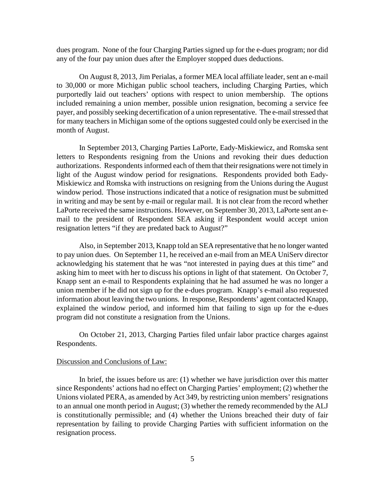dues program. None of the four Charging Parties signed up for the e-dues program; nor did any of the four pay union dues after the Employer stopped dues deductions.

On August 8, 2013, Jim Perialas, a former MEA local affiliate leader, sent an e-mail to 30,000 or more Michigan public school teachers, including Charging Parties, which purportedly laid out teachers' options with respect to union membership. The options included remaining a union member, possible union resignation, becoming a service fee payer, and possibly seeking decertification of a union representative. The e-mail stressed that for many teachers in Michigan some of the options suggested could only be exercised in the month of August.

In September 2013, Charging Parties LaPorte, Eady-Miskiewicz, and Romska sent letters to Respondents resigning from the Unions and revoking their dues deduction authorizations. Respondents informed each of them that their resignations were not timely in light of the August window period for resignations. Respondents provided both Eady-Miskiewicz and Romska with instructions on resigning from the Unions during the August window period. Those instructions indicated that a notice of resignation must be submitted in writing and may be sent by e-mail or regular mail. It is not clear from the record whether LaPorte received the same instructions. However, on September 30, 2013, LaPorte sent an email to the president of Respondent SEA asking if Respondent would accept union resignation letters "if they are predated back to August?"

Also, in September 2013, Knapp told an SEA representative that he no longer wanted to pay union dues. On September 11, he received an e-mail from an MEA UniServ director acknowledging his statement that he was "not interested in paying dues at this time" and asking him to meet with her to discuss his options in light of that statement. On October 7, Knapp sent an e-mail to Respondents explaining that he had assumed he was no longer a union member if he did not sign up for the e-dues program. Knapp's e-mail also requested information about leaving the two unions. In response, Respondents' agent contacted Knapp, explained the window period, and informed him that failing to sign up for the e-dues program did not constitute a resignation from the Unions.

On October 21, 2013, Charging Parties filed unfair labor practice charges against Respondents.

#### Discussion and Conclusions of Law:

In brief, the issues before us are: (1) whether we have jurisdiction over this matter since Respondents' actions had no effect on Charging Parties' employment; (2) whether the Unions violated PERA, as amended by Act 349, by restricting union members' resignations to an annual one month period in August; (3) whether the remedy recommended by the ALJ is constitutionally permissible; and (4) whether the Unions breached their duty of fair representation by failing to provide Charging Parties with sufficient information on the resignation process.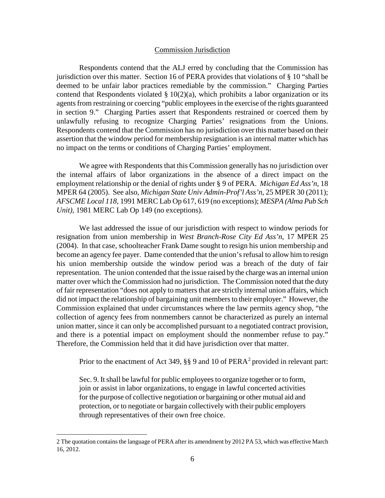#### Commission Jurisdiction

Respondents contend that the ALJ erred by concluding that the Commission has jurisdiction over this matter. Section 16 of PERA provides that violations of § 10 "shall be deemed to be unfair labor practices remediable by the commission." Charging Parties contend that Respondents violated  $\S 10(2)(a)$ , which prohibits a labor organization or its agents from restraining or coercing "public employees in the exercise of the rights guaranteed in section 9." Charging Parties assert that Respondents restrained or coerced them by unlawfully refusing to recognize Charging Parties' resignations from the Unions. Respondents contend that the Commission has no jurisdiction over this matter based on their assertion that the window period for membership resignation is an internal matter which has no impact on the terms or conditions of Charging Parties' employment.

We agree with Respondents that this Commission generally has no jurisdiction over the internal affairs of labor organizations in the absence of a direct impact on the employment relationship or the denial of rights under § 9 of PERA. *Michigan Ed Ass'n*, 18 MPER 64 (2005). See also, *Michigan State Univ Admin-Prof'l Ass'n*, 25 MPER 30 (2011); *AFSCME Local 118*, 1991 MERC Lab Op 617, 619 (no exceptions); *MESPA (Alma Pub Sch Unit),* 1981 MERC Lab Op 149 (no exceptions).

We last addressed the issue of our jurisdiction with respect to window periods for resignation from union membership in *West Branch-Rose City Ed Ass'n*, 17 MPER 25 (2004). In that case, schoolteacher Frank Dame sought to resign his union membership and become an agency fee payer. Dame contended that the union's refusal to allow him to resign his union membership outside the window period was a breach of the duty of fair representation. The union contended that the issue raised by the charge was an internal union matter over which the Commission had no jurisdiction. The Commission noted that the duty of fair representation "does not apply to matters that are strictly internal union affairs, which did not impact the relationship of bargaining unit members to their employer." However, the Commission explained that under circumstances where the law permits agency shop, "the collection of agency fees from nonmembers cannot be characterized as purely an internal union matter, since it can only be accomplished pursuant to a negotiated contract provision, and there is a potential impact on employment should the nonmember refuse to pay." Therefore, the Commission held that it did have jurisdiction over that matter.

Prior to the enactment of Act 349,  $\S$ § 9 and 10 of PERA<sup>[2](#page-5-0)</sup> provided in relevant part:

Sec. 9. It shall be lawful for public employees to organize together or to form, join or assist in labor organizations, to engage in lawful concerted activities for the purpose of collective negotiation or bargaining or other mutual aid and protection, or to negotiate or bargain collectively with their public employers through representatives of their own free choice.

<span id="page-5-0"></span><sup>2</sup> The quotation contains the language of PERA after its amendment by 2012 PA 53, which was effective March 16, 2012.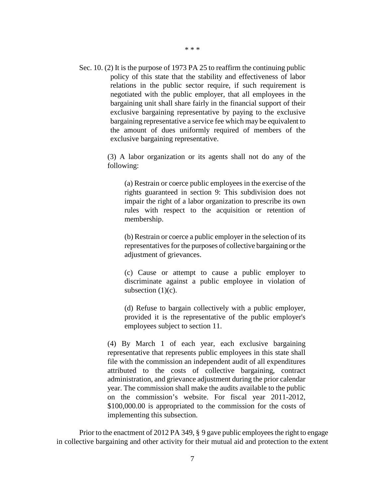- \* \* \*
- Sec. 10. (2) It is the purpose of 1973 PA 25 to reaffirm the continuing public policy of this state that the stability and effectiveness of labor relations in the public sector require, if such requirement is negotiated with the public employer, that all employees in the bargaining unit shall share fairly in the financial support of their exclusive bargaining representative by paying to the exclusive bargaining representative a service fee which may be equivalent to the amount of dues uniformly required of members of the exclusive bargaining representative.

(3) A labor organization or its agents shall not do any of the following:

(a) Restrain or coerce public employees in the exercise of the rights guaranteed in section 9: This subdivision does not impair the right of a labor organization to prescribe its own rules with respect to the acquisition or retention of membership.

(b) Restrain or coerce a public employer in the selection of its representatives for the purposes of collective bargaining or the adjustment of grievances.

(c) Cause or attempt to cause a public employer to discriminate against a public employee in violation of subsection  $(1)(c)$ .

(d) Refuse to bargain collectively with a public employer, provided it is the representative of the public employer's employees subject to section 11.

(4) By March 1 of each year, each exclusive bargaining representative that represents public employees in this state shall file with the commission an independent audit of all expenditures attributed to the costs of collective bargaining, contract administration, and grievance adjustment during the prior calendar year. The commission shall make the audits available to the public on the commission's website. For fiscal year 2011-2012, \$100,000.00 is appropriated to the commission for the costs of implementing this subsection.

Prior to the enactment of 2012 PA 349, § 9 gave public employees the right to engage in collective bargaining and other activity for their mutual aid and protection to the extent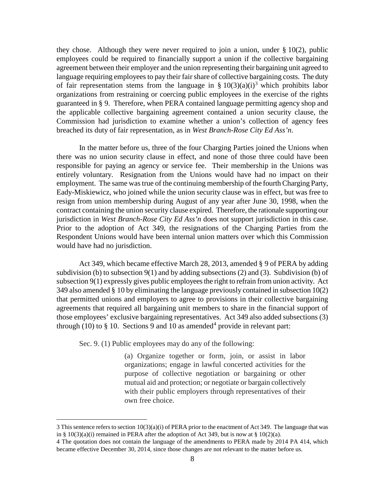they chose. Although they were never required to join a union, under  $\S 10(2)$ , public employees could be required to financially support a union if the collective bargaining agreement between their employer and the union representing their bargaining unit agreed to language requiring employees to pay their fair share of collective bargaining costs. The duty of fair representation stems from the language in §  $10(3)(a)(i)^3$  $10(3)(a)(i)^3$  $10(3)(a)(i)^3$  which prohibits labor organizations from restraining or coercing public employees in the exercise of the rights guaranteed in § 9. Therefore, when PERA contained language permitting agency shop and the applicable collective bargaining agreement contained a union security clause, the Commission had jurisdiction to examine whether a union's collection of agency fees breached its duty of fair representation, as in *West Branch-Rose City Ed Ass'n*.

In the matter before us, three of the four Charging Parties joined the Unions when there was no union security clause in effect, and none of those three could have been responsible for paying an agency or service fee. Their membership in the Unions was entirely voluntary. Resignation from the Unions would have had no impact on their employment. The same was true of the continuing membership of the fourth Charging Party, Eady-Miskiewicz, who joined while the union security clause was in effect, but was free to resign from union membership during August of any year after June 30, 1998, when the contract containing the union security clause expired. Therefore, the rationale supporting our jurisdiction in *West Branch-Rose City Ed Ass'n* does not support jurisdiction in this case. Prior to the adoption of Act 349, the resignations of the Charging Parties from the Respondent Unions would have been internal union matters over which this Commission would have had no jurisdiction.

Act 349, which became effective March 28, 2013, amended § 9 of PERA by adding subdivision (b) to subsection  $9(1)$  and by adding subsections (2) and (3). Subdivision (b) of subsection 9(1) expressly gives public employees the right to refrain from union activity. Act 349 also amended § 10 by eliminating the language previously contained in subsection 10(2) that permitted unions and employers to agree to provisions in their collective bargaining agreements that required all bargaining unit members to share in the financial support of those employees' exclusive bargaining representatives. Act 349 also added subsections (3) through (10) to  $\S$  10. Sections 9 and 10 as amended<sup>[4](#page-7-1)</sup> provide in relevant part:

Sec. 9. (1) Public employees may do any of the following:

 $\overline{a}$ 

(a) Organize together or form, join, or assist in labor organizations; engage in lawful concerted activities for the purpose of collective negotiation or bargaining or other mutual aid and protection; or negotiate or bargain collectively with their public employers through representatives of their own free choice.

<span id="page-7-0"></span><sup>3</sup> This sentence refers to section  $10(3)(a)(i)$  of PERA prior to the enactment of Act 349. The language that was in §  $10(3)(a)(i)$  remained in PERA after the adoption of Act 349, but is now at §  $10(2)(a)$ .

<span id="page-7-1"></span><sup>4</sup> The quotation does not contain the language of the amendments to PERA made by 2014 PA 414, which became effective December 30, 2014, since those changes are not relevant to the matter before us.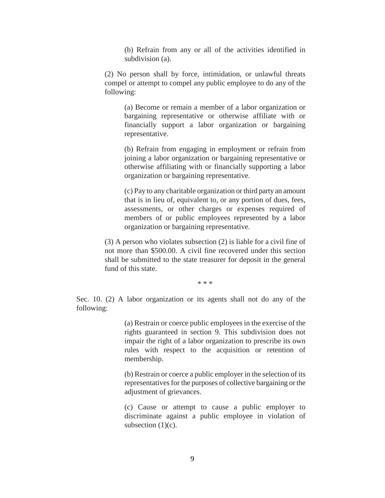(b) Refrain from any or all of the activities identified in subdivision (a).

(2) No person shall by force, intimidation, or unlawful threats compel or attempt to compel any public employee to do any of the following:

(a) Become or remain a member of a labor organization or bargaining representative or otherwise affiliate with or financially support a labor organization or bargaining representative.

(b) Refrain from engaging in employment or refrain from joining a labor organization or bargaining representative or otherwise affiliating with or financially supporting a labor organization or bargaining representative.

(c) Pay to any charitable organization or third party an amount that is in lieu of, equivalent to, or any portion of dues, fees, assessments, or other charges or expenses required of members of or public employees represented by a labor organization or bargaining representative.

(3) A person who violates subsection (2) is liable for a civil fine of not more than \$500.00. A civil fine recovered under this section shall be submitted to the state treasurer for deposit in the general fund of this state.

\* \* \*

Sec. 10. (2) A labor organization or its agents shall not do any of the following:

> (a) Restrain or coerce public employees in the exercise of the rights guaranteed in section 9. This subdivision does not impair the right of a labor organization to prescribe its own rules with respect to the acquisition or retention of membership.

> (b) Restrain or coerce a public employer in the selection of its representatives for the purposes of collective bargaining or the adjustment of grievances.

> (c) Cause or attempt to cause a public employer to discriminate against a public employee in violation of subsection  $(1)(c)$ .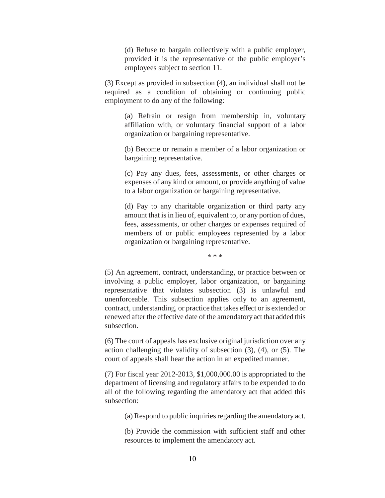(d) Refuse to bargain collectively with a public employer, provided it is the representative of the public employer's employees subject to section 11.

(3) Except as provided in subsection (4), an individual shall not be required as a condition of obtaining or continuing public employment to do any of the following:

(a) Refrain or resign from membership in, voluntary affiliation with, or voluntary financial support of a labor organization or bargaining representative.

(b) Become or remain a member of a labor organization or bargaining representative.

(c) Pay any dues, fees, assessments, or other charges or expenses of any kind or amount, or provide anything of value to a labor organization or bargaining representative.

(d) Pay to any charitable organization or third party any amount that is in lieu of, equivalent to, or any portion of dues, fees, assessments, or other charges or expenses required of members of or public employees represented by a labor organization or bargaining representative.

\* \* \*

(5) An agreement, contract, understanding, or practice between or involving a public employer, labor organization, or bargaining representative that violates subsection (3) is unlawful and unenforceable. This subsection applies only to an agreement, contract, understanding, or practice that takes effect or is extended or renewed after the effective date of the amendatory act that added this subsection.

(6) The court of appeals has exclusive original jurisdiction over any action challenging the validity of subsection (3), (4), or (5). The court of appeals shall hear the action in an expedited manner.

(7) For fiscal year 2012-2013, \$1,000,000.00 is appropriated to the department of licensing and regulatory affairs to be expended to do all of the following regarding the amendatory act that added this subsection:

(a) Respond to public inquiries regarding the amendatory act.

(b) Provide the commission with sufficient staff and other resources to implement the amendatory act.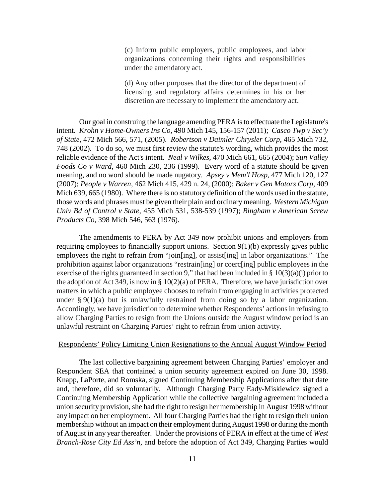(c) Inform public employers, public employees, and labor organizations concerning their rights and responsibilities under the amendatory act.

(d) Any other purposes that the director of the department of licensing and regulatory affairs determines in his or her discretion are necessary to implement the amendatory act.

Our goal in construing the language amending PERA is to effectuate the Legislature's intent. *Krohn v Home-Owners Ins Co*, 490 Mich 145, 156-157 (2011); *Casco Twp v Sec'y of State,* 472 Mich 566, 571, (2005). *Robertson v Daimler Chrysler Corp*, 465 Mich 732, 748 (2002). To do so, we must first review the statute's wording, which provides the most reliable evidence of the Act's intent. *Neal v Wilkes*, 470 Mich 661, 665 (2004); *Sun Valley Foods Co v Ward*, 460 Mich 230, 236 (1999). Every word of a statute should be given meaning, and no word should be made nugatory. *Apsey v Mem'l Hosp*, 477 Mich 120, 127 (2007); *People v Warren,* 462 Mich 415, 429 n. 24, (2000); *Baker v Gen Motors Corp,* 409 Mich 639, 665 (1980). Where there is no statutory definition of the words used in the statute, those words and phrases must be given their plain and ordinary meaning. *Western Michigan Univ Bd of Control v State*, 455 Mich 531, 538-539 (1997); *Bingham v American Screw Products Co*, 398 Mich 546, 563 (1976).

The amendments to PERA by Act 349 now prohibit unions and employers from requiring employees to financially support unions. Section 9(1)(b) expressly gives public employees the right to refrain from "join[ing], or assist[ing] in labor organizations." The prohibition against labor organizations "restrain[ing] or coerc[ing] public employees in the exercise of the rights guaranteed in section 9," that had been included in  $\S$  10(3)(a)(i) prior to the adoption of Act 349, is now in §  $10(2)(a)$  of PERA. Therefore, we have jurisdiction over matters in which a public employee chooses to refrain from engaging in activities protected under  $\S 9(1)(a)$  but is unlawfully restrained from doing so by a labor organization. Accordingly, we have jurisdiction to determine whether Respondents' actions in refusing to allow Charging Parties to resign from the Unions outside the August window period is an unlawful restraint on Charging Parties' right to refrain from union activity.

#### Respondents' Policy Limiting Union Resignations to the Annual August Window Period

The last collective bargaining agreement between Charging Parties' employer and Respondent SEA that contained a union security agreement expired on June 30, 1998. Knapp, LaPorte, and Romska, signed Continuing Membership Applications after that date and, therefore, did so voluntarily. Although Charging Party Eady-Miskiewicz signed a Continuing Membership Application while the collective bargaining agreement included a union security provision, she had the right to resign her membership in August 1998 without any impact on her employment. All four Charging Parties had the right to resign their union membership without an impact on their employment during August 1998 or during the month of August in any year thereafter. Under the provisions of PERA in effect at the time of *West Branch-Rose City Ed Ass'n*, and before the adoption of Act 349, Charging Parties would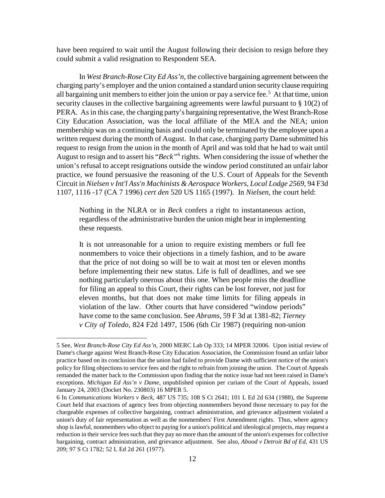have been required to wait until the August following their decision to resign before they could submit a valid resignation to Respondent SEA.

In *West Branch-Rose City Ed Ass'n*, the collective bargaining agreement between the charging party's employer and the union contained a standard union security clause requiring all bargaining unit members to either join the union or pay a service fee.<sup>[5](#page-11-0)</sup> At that time, union security clauses in the collective bargaining agreements were lawful pursuant to § 10(2) of PERA. As in this case, the charging party's bargaining representative, the West Branch-Rose City Education Association, was the local affiliate of the MEA and the NEA; union membership was on a continuing basis and could only be terminated by the employee upon a written request during the month of August. In that case, charging party Dame submitted his request to resign from the union in the month of April and was told that he had to wait until August to resign and to assert his "*Beck"*[6](#page-11-1) rights. When considering the issue of whether the union's refusal to accept resignations outside the window period constituted an unfair labor practice, we found persuasive the reasoning of the U.S. Court of Appeals for the Seventh Circuit in *Nielsen v Int'l Ass'n Machinists & Aerospace Workers, Local Lodge 2569*, 94 F3d 1107, 1116 -17 (CA 7 1996) *cert den* 520 US 1165 (1997). In *Nielsen*, the court held:

Nothing in the NLRA or in *Beck* confers a right to instantaneous action, regardless of the administrative burden the union might bear in implementing these requests.

It is not unreasonable for a union to require existing members or full fee nonmembers to voice their objections in a timely fashion, and to be aware that the price of not doing so will be to wait at most ten or eleven months before implementing their new status. Life is full of deadlines, and we see nothing particularly onerous about this one. When people miss the deadline for filing an appeal to this Court, their rights can be lost forever, not just for eleven months, but that does not make time limits for filing appeals in violation of the law. Other courts that have considered "window periods" have come to the same conclusion. See *Abrams,* 59 F 3d at 1381-82; *Tierney v City of Toledo,* 824 F2d 1497, 1506 (6th Cir 1987) (requiring non-union

<span id="page-11-0"></span><sup>5</sup> See, *West Branch-Rose City Ed Ass'n*, 2000 MERC Lab Op 333; 14 MPER 32006. Upon initial review of Dame's charge against West Branch-Rose City Education Association, the Commission found an unfair labor practice based on its conclusion that the union had failed to provide Dame with sufficient notice of the union's policy for filing objections to service fees and the right to refrain from joining the union. The Court of Appeals remanded the matter back to the Commission upon finding that the notice issue had not been raised in Dame's exceptions. *Michigan Ed Ass'n v Dame*, unpublished opinion per curiam of the Court of Appeals, issued January 24, 2003 (Docket No. 230803) 16 MPER 5.

<span id="page-11-1"></span><sup>6</sup> In *Communications Workers v Beck*, 487 US 735; 108 S Ct 2641; 101 L Ed 2d 634 (1988), the Supreme Court held that exactions of agency fees from objecting nonmembers beyond those necessary to pay for the chargeable expenses of collective bargaining, contract administration, and grievance adjustment violated a union's duty of fair representation as well as the nonmembers' First Amendment rights. Thus, where agency shop is lawful, nonmembers who object to paying for a union's political and ideological projects, may request a reduction in their service fees such that they pay no more than the amount of the union's expenses for collective bargaining, contract administration, and grievance adjustment. See also, *Abood v Detroit Bd of Ed*, 431 US 209; 97 S Ct 1782; 52 L Ed 2d 261 (1977).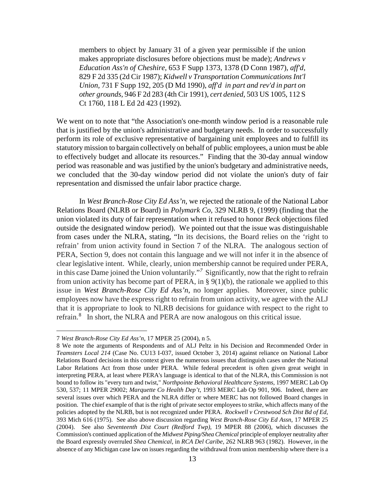members to object by January 31 of a given year permissible if the union makes appropriate disclosures before objections must be made); *Andrews v Education Ass'n of Cheshire,* 653 F Supp 1373, 1378 (D Conn 1987), *aff'd*, 829 F 2d 335 (2d Cir 1987); *Kidwell v Transportation Communications Int'l Union,* 731 F Supp 192, 205 (D Md 1990), *aff'd in part and rev'd in part on other grounds*, 946 F 2d 283 (4th Cir 1991), *cert denied*, 503 US 1005, 112 S Ct 1760, 118 L Ed 2d 423 (1992).

We went on to note that "the Association's one-month window period is a reasonable rule that is justified by the union's administrative and budgetary needs. In order to successfully perform its role of exclusive representative of bargaining unit employees and to fulfill its statutory mission to bargain collectively on behalf of public employees, a union must be able to effectively budget and allocate its resources." Finding that the 30-day annual window period was reasonable and was justified by the union's budgetary and administrative needs, we concluded that the 30-day window period did not violate the union's duty of fair representation and dismissed the unfair labor practice charge.

In *West Branch-Rose City Ed Ass'n*, we rejected the rationale of the National Labor Relations Board (NLRB or Board) in *Polymark Co*, 329 NLRB 9, (1999) (finding that the union violated its duty of fair representation when it refused to honor *Beck* objections filed outside the designated window period). We pointed out that the issue was distinguishable from cases under the NLRA, stating, "In its decisions, the Board relies on the 'right to refrain' from union activity found in Section 7 of the NLRA. The analogous section of PERA, Section 9, does not contain this language and we will not infer it in the absence of clear legislative intent. While, clearly, union membership cannot be required under PERA, in this case Dame joined the Union voluntarily."*[7](#page-12-0)* Significantly, now that the right to refrain from union activity has become part of PERA, in § 9(1)(b), the rationale we applied to this issue in *West Branch-Rose City Ed Ass'n*, no longer applies. Moreover, since public employees now have the express right to refrain from union activity, we agree with the ALJ that it is appropriate to look to NLRB decisions for guidance with respect to the right to refrain.<sup>[8](#page-12-1)</sup> In short, the NLRA and PERA are now analogous on this critical issue.

<span id="page-12-0"></span><sup>7</sup> *West Branch-Rose City Ed Ass'n*, 17 MPER 25 (2004), n 5.

<span id="page-12-1"></span><sup>8</sup> We note the arguments of Respondents and of ALJ Peltz in his Decision and Recommended Order in *Teamsters Local 214* (Case No. CU13 I-037, issued October 3, 2014) against reliance on National Labor Relations Board decisions in this context given the numerous issues that distinguish cases under the National Labor Relations Act from those under PERA. While federal precedent is often given great weight in interpreting PERA, at least where PERA's language is identical to that of the NLRA, this Commission is not bound to follow its "every turn and twist," *Northpointe Behavioral Healthcare Systems*, 1997 MERC Lab Op 530, 537; 11 MPER 29002; *Marquette Co Health Dep't*, 1993 MERC Lab Op 901, 906. Indeed, there are several issues over which PERA and the NLRA differ or where MERC has not followed Board changes in position. The chief example of that is the right of private sector employees to strike, which affects many of the policies adopted by the NLRB, but is not recognized under PERA. *Rockwell v Crestwood Sch Dist Bd of Ed*, 393 Mich 616 (1975). See also above discussion regarding *West Branch-Rose City Ed Assn*, 17 MPER 25 (2004). See also *Seventeenth Dist Court (Redford Twp)*, 19 MPER 88 (2006), which discusses the Commission's continued application of the *Midwest Piping/Shea Chemical* principle of employer neutrality after the Board expressly overruled *Shea Chemical*, in *RCA Del Caribe*, 262 NLRB 963 (1982). However, in the absence of any Michigan case law on issues regarding the withdrawal from union membership where there is a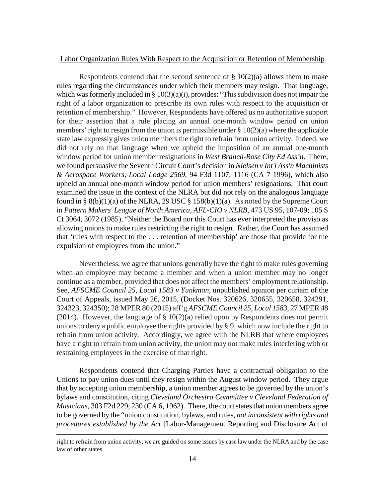### Labor Organization Rules With Respect to the Acquisition or Retention of Membership

Respondents contend that the second sentence of  $\S 10(2)(a)$  allows them to make rules regarding the circumstances under which their members may resign. That language, which was formerly included in  $\S 10(3)(a)(i)$ , provides: "This subdivision does not impair the right of a labor organization to prescribe its own rules with respect to the acquisition or retention of membership." However, Respondents have offered us no authoritative support for their assertion that a rule placing an annual one-month window period on union members' right to resign from the union is permissible under  $\S 10(2)(a)$  where the applicable state law expressly gives union members the right to refrain from union activity. Indeed, we did not rely on that language when we upheld the imposition of an annual one-month window period for union member resignations in *West Branch-Rose City Ed Ass'n*. There, we found persuasive the Seventh Circuit Court's decision in *Nielsen v Int'l Ass'n Machinists & Aerospace Workers, Local Lodge 2569*, 94 F3d 1107, 1116 (CA 7 1996), which also upheld an annual one-month window period for union members' resignations. That court examined the issue in the context of the NLRA but did not rely on the analogous language found in §  $8(b)(1)(a)$  of the NLRA, 29 USC § 158 $(b)(1)(a)$ . As noted by the Supreme Court in *Pattern Makers' League of North America, AFL-CIO v NLRB*, 473 US 95, 107-09; 105 S Ct 3064, 3072 (1985), "Neither the Board nor this Court has ever interpreted the proviso as allowing unions to make rules restricting the right to resign. Rather, the Court has assumed that 'rules with respect to the . . . retention of membership' are those that provide for the expulsion of employees from the union."

Nevertheless, we agree that unions generally have the right to make rules governing when an employee may become a member and when a union member may no longer continue as a member, provided that does not affect the members' employment relationship. See, *AFSCME Council 25, Local 1583 v Yunkman,* unpublished opinion per curiam of the Court of Appeals, issued May 26, 2015, (Docket Nos. 320626, 320655, 320658, 324291, 324323, 324350); 28 MPER 80 (2015) aff'g *AFSCME Council 25, Local 1583*, 27 MPER 48 (2014). However, the language of  $\S 10(2)(a)$  relied upon by Respondents does not permit unions to deny a public employee the rights provided by § 9, which now include the right to refrain from union activity. Accordingly, we agree with the NLRB that where employees have a right to refrain from union activity, the union may not make rules interfering with or restraining employees in the exercise of that right.

Respondents contend that Charging Parties have a contractual obligation to the Unions to pay union dues until they resign within the August window period. They argue that by accepting union membership, a union member agrees to be governed by the union's bylaws and constitution, citing *Cleveland Orchestra Committee v Cleveland Federation of Musicians*, 303 F2d 229, 230 (CA 6, 1962). There, the court states that union members agree to be governed by the "union constitution, bylaws, and rules, *not inconsistent with rights and procedures established by the Act* [Labor-Management Reporting and Disclosure Act of

right to refrain from union activity, we are guided on some issues by case law under the NLRA and by the case law of other states.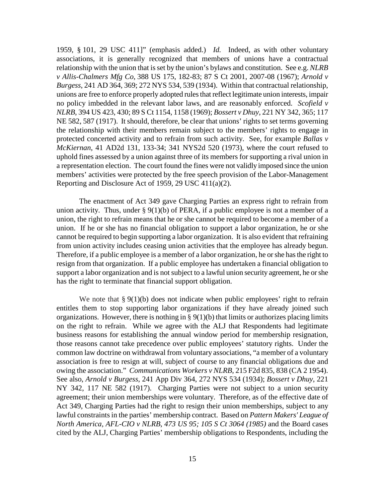1959, § 101, 29 USC 411]" (emphasis added.) *Id.* Indeed, as with other voluntary associations, it is generally recognized that members of unions have a contractual relationship with the union that is set by the union's bylaws and constitution. See e.g. *NLRB v Allis-Chalmers Mfg Co*, 388 US 175, 182-83; 87 S Ct 2001, 2007-08 (1967); *Arnold v Burgess*, 241 AD 364, 369; 272 NYS 534, 539 (1934). Within that contractual relationship, unions are free to enforce properly adopted rules that reflect legitimate union interests, impair no policy imbedded in the relevant labor laws, and are reasonably enforced. *Scofield v NLRB*, 394 US 423, 430; 89 S Ct 1154, 1158 (1969); *Bossert v Dhuy*, 221 NY 342, 365; 117 NE 582, 587 (1917). It should, therefore, be clear that unions' rights to set terms governing the relationship with their members remain subject to the members' rights to engage in protected concerted activity and to refrain from such activity. See, for example *Ballas v McKiernan*, 41 AD2d 131, 133-34; 341 NYS2d 520 (1973), where the court refused to uphold fines assessed by a union against three of its members for supporting a rival union in a representation election. The court found the fines were not validly imposed since the union members' activities were protected by the free speech provision of the Labor-Management Reporting and Disclosure Act of 1959, 29 USC 411(a)(2).

The enactment of Act 349 gave Charging Parties an express right to refrain from union activity. Thus, under  $\S 9(1)(b)$  of PERA, if a public employee is not a member of a union, the right to refrain means that he or she cannot be required to become a member of a union. If he or she has no financial obligation to support a labor organization, he or she cannot be required to begin supporting a labor organization. It is also evident that refraining from union activity includes ceasing union activities that the employee has already begun. Therefore, if a public employee is a member of a labor organization, he or she has the right to resign from that organization. If a public employee has undertaken a financial obligation to support a labor organization and is not subject to a lawful union security agreement, he or she has the right to terminate that financial support obligation.

We note that  $\S 9(1)(b)$  does not indicate when public employees' right to refrain entitles them to stop supporting labor organizations if they have already joined such organizations. However, there is nothing in  $\S 9(1)(b)$  that limits or authorizes placing limits on the right to refrain. While we agree with the ALJ that Respondents had legitimate business reasons for establishing the annual window period for membership resignation, those reasons cannot take precedence over public employees' statutory rights. Under the common law doctrine on withdrawal from voluntary associations, "a member of a voluntary association is free to resign at will, subject of course to any financial obligations due and owing the association." *Communications Workers v NLRB*, 215 F2d 835, 838 (CA 2 1954). See also, *Arnold v Burgess*, 241 App Div 364, 272 NYS 534 (1934); *Bossert v Dhuy*, 221 NY 342, 117 NE 582 (1917). Charging Parties were not subject to a union security agreement; their union memberships were voluntary. Therefore, as of the effective date of Act 349, Charging Parties had the right to resign their union memberships, subject to any lawful constraints in the parties' membership contract. Based on *Pattern Makers' League of North America, AFL-CIO v NLRB, 473 US 95; 105 S Ct 3064 (1985)* and the Board cases cited by the ALJ, Charging Parties' membership obligations to Respondents, including the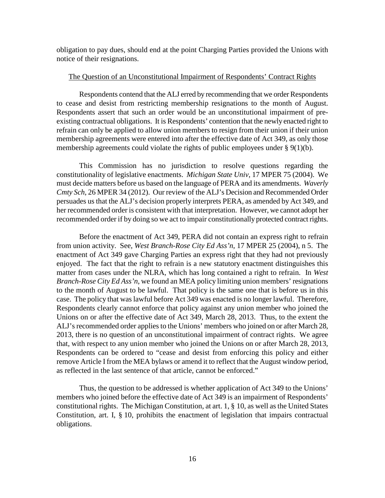obligation to pay dues, should end at the point Charging Parties provided the Unions with notice of their resignations.

#### The Question of an Unconstitutional Impairment of Respondents' Contract Rights

Respondents contend that the ALJ erred by recommending that we order Respondents to cease and desist from restricting membership resignations to the month of August. Respondents assert that such an order would be an unconstitutional impairment of preexisting contractual obligations. It is Respondents' contention that the newly enacted right to refrain can only be applied to allow union members to resign from their union if their union membership agreements were entered into after the effective date of Act 349, as only those membership agreements could violate the rights of public employees under  $\S 9(1)(b)$ .

This Commission has no jurisdiction to resolve questions regarding the constitutionality of legislative enactments. *Michigan State Univ*, 17 MPER 75 (2004). We must decide matters before us based on the language of PERA and its amendments. *Waverly Cmty Sch*, 26 MPER 34 (2012). Our review of the ALJ's Decision and Recommended Order persuades us that the ALJ's decision properly interprets PERA, as amended by Act 349, and her recommended order is consistent with that interpretation. However, we cannot adopt her recommended order if by doing so we act to impair constitutionally protected contract rights.

Before the enactment of Act 349, PERA did not contain an express right to refrain from union activity. See, *West Branch-Rose City Ed Ass'n*, 17 MPER 25 (2004), n 5. The enactment of Act 349 gave Charging Parties an express right that they had not previously enjoyed. The fact that the right to refrain is a new statutory enactment distinguishes this matter from cases under the NLRA, which has long contained a right to refrain. In *West Branch-Rose City Ed Ass'n*, we found an MEA policy limiting union members' resignations to the month of August to be lawful. That policy is the same one that is before us in this case. The policy that was lawful before Act 349 was enacted is no longer lawful. Therefore, Respondents clearly cannot enforce that policy against any union member who joined the Unions on or after the effective date of Act 349, March 28, 2013. Thus, to the extent the ALJ's recommended order applies to the Unions' members who joined on or after March 28, 2013, there is no question of an unconstitutional impairment of contract rights. We agree that, with respect to any union member who joined the Unions on or after March 28, 2013, Respondents can be ordered to "cease and desist from enforcing this policy and either remove Article I from the MEA bylaws or amend it to reflect that the August window period, as reflected in the last sentence of that article, cannot be enforced."

Thus, the question to be addressed is whether application of Act 349 to the Unions' members who joined before the effective date of Act 349 is an impairment of Respondents' constitutional rights. The Michigan Constitution, at art. 1, § 10, as well as the United States Constitution, art. I, § 10, prohibits the enactment of legislation that impairs contractual obligations.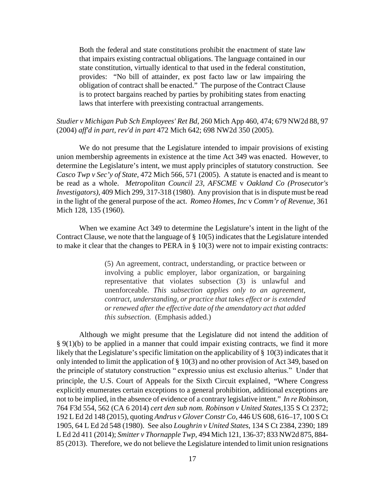Both the federal and state constitutions prohibit the enactment of state law that impairs existing contractual obligations. The language contained in our state constitution, virtually identical to that used in the federal constitution, provides: "No bill of attainder, ex post facto law or law impairing the obligation of contract shall be enacted." The purpose of the Contract Clause is to protect bargains reached by parties by prohibiting states from enacting laws that interfere with preexisting contractual arrangements.

## *Studier v Michigan Pub Sch Employees' Ret Bd*, 260 Mich App 460, 474; 679 NW2d 88, 97 (2004) *aff'd in part, rev'd in part* 472 Mich 642; 698 NW2d 350 (2005).

We do not presume that the Legislature intended to impair provisions of existing union membership agreements in existence at the time Act 349 was enacted. However, to determine the Legislature's intent, we must apply principles of statutory construction. See *Casco Twp v Sec'y of State,* 472 Mich 566, 571 (2005). A statute is enacted and is meant to be read as a whole. *Metropolitan Council 23, AFSCME* v *Oakland Co (Prosecutor's Investigators),* 409 Mich 299, 317-318 (1980). Any provision that is in dispute must be read in the light of the general purpose of the act. *Romeo Homes, Inc* v *Comm'r of Revenue,* 361 Mich 128, 135 (1960).

When we examine Act 349 to determine the Legislature's intent in the light of the Contract Clause, we note that the language of  $\S 10(5)$  indicates that the Legislature intended to make it clear that the changes to PERA in § 10(3) were not to impair existing contracts:

> (5) An agreement, contract, understanding, or practice between or involving a public employer, labor organization, or bargaining representative that violates subsection (3) is unlawful and unenforceable. *This subsection applies only to an agreement, contract, understanding, or practice that takes effect or is extended or renewed after the effective date of the amendatory act that added this subsection.* (Emphasis added.)

Although we might presume that the Legislature did not intend the addition of  $§$  9(1)(b) to be applied in a manner that could impair existing contracts, we find it more likely that the Legislature's specific limitation on the applicability of  $\S 10(3)$  indicates that it only intended to limit the application of § 10(3) and no other provision of Act 349, based on the principle of statutory construction " expressio unius est exclusio alterius." Under that principle, the U.S. Court of Appeals for the Sixth Circuit explained, "Where Congress explicitly enumerates certain exceptions to a general prohibition, additional exceptions are not to be implied, in the absence of evidence of a contrary legislative intent." *In re Robinson*, 764 F3d 554, 562 (CA 6 2014) *cert den sub nom. Robinson v United States*,135 S Ct 2372; 192 L Ed 2d 148 (2015), quoting *Andrus v Glover Constr Co,* 446 US 608, 616–17, 100 S Ct 1905, 64 L Ed 2d 548 (1980). See also *Loughrin v United States*, 134 S Ct 2384, 2390; 189 L Ed 2d 411 (2014); *Smitter v Thornapple Twp*, 494 Mich 121, 136-37; 833 NW2d 875, 884- 85 (2013). Therefore, we do not believe the Legislature intended to limit union resignations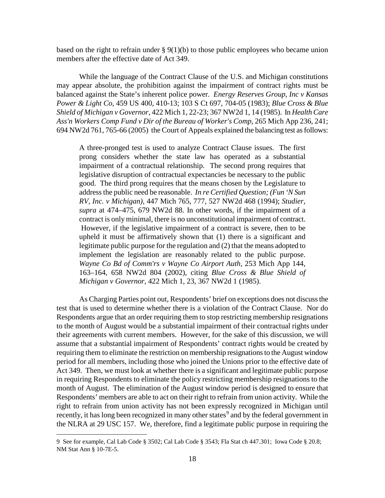based on the right to refrain under  $\S 9(1)(b)$  to those public employees who became union members after the effective date of Act 349.

While the language of the Contract Clause of the U.S. and Michigan constitutions may appear absolute, the prohibition against the impairment of contract rights must be balanced against the State's inherent police power. *Energy Reserves Group, Inc v Kansas Power & Light Co*, 459 US 400, 410-13; 103 S Ct 697, 704-05 (1983); *Blue Cross & Blue Shield of Michigan v Governor*, 422 Mich 1, 22-23; 367 NW2d 1, 14 (1985). In *Health Care Ass'n Workers Comp Fund v Dir of the Bureau of Worker's Comp*, 265 Mich App 236, 241; 694 NW2d 761, 765-66 (2005) the Court of Appeals explained the balancing test as follows:

A three-pronged test is used to analyze Contract Clause issues. The first prong considers whether the state law has operated as a substantial impairment of a contractual relationship. The second prong requires that legislative disruption of contractual expectancies be necessary to the public good. The third prong requires that the means chosen by the Legislature to addressthe public need be reasonable. *In re Certified Question; (Fun 'N Sun RV, Inc. v Michigan),* 447 Mich 765, 777, 527 NW2d 468 (1994); *Studier, supra* at 474–475, 679 NW2d 88. In other words, if the impairment of a contract is only minimal, there is no unconstitutional impairment of contract. However, if the legislative impairment of a contract is severe, then to be upheld it must be affirmatively shown that (1) there is a significant and legitimate public purpose for the regulation and (2) that the means adopted to implement the legislation are reasonably related to the public purpose. *Wayne Co Bd of Comm'rs v Wayne Co Airport Auth,* 253 Mich App 144, 163–164, 658 NW2d 804 (2002), citing *Blue Cross & Blue Shield of Michigan v Governor,* 422 Mich 1, 23, 367 NW2d 1 (1985).

As Charging Parties point out, Respondents' brief on exceptions does not discuss the test that is used to determine whether there is a violation of the Contract Clause. Nor do Respondents argue that an order requiring them to stop restricting membership resignations to the month of August would be a substantial impairment of their contractual rights under their agreements with current members. However, for the sake of this discussion, we will assume that a substantial impairment of Respondents' contract rights would be created by requiring them to eliminate the restriction on membership resignations to the August window period for all members, including those who joined the Unions prior to the effective date of Act 349. Then, we must look at whether there is a significant and legitimate public purpose in requiring Respondents to eliminate the policy restricting membership resignations to the month of August. The elimination of the August window period is designed to ensure that Respondents' members are able to act on their right to refrain from union activity. While the right to refrain from union activity has not been expressly recognized in Michigan until recently, it has long been recognized in many other states<sup>[9](#page-17-0)</sup> and by the federal government in the NLRA at 29 USC 157. We, therefore, find a legitimate public purpose in requiring the

<span id="page-17-0"></span><sup>9</sup> See for example, Cal Lab Code § 3502; Cal Lab Code § 3543; Fla Stat ch 447.301; Iowa Code § 20.8; NM Stat Ann § 10-7E-5.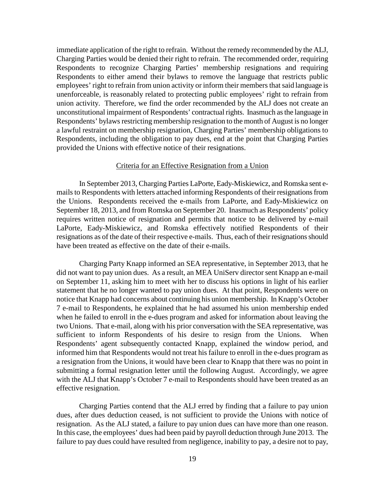immediate application of the right to refrain. Without the remedy recommended by the ALJ, Charging Parties would be denied their right to refrain. The recommended order, requiring Respondents to recognize Charging Parties' membership resignations and requiring Respondents to either amend their bylaws to remove the language that restricts public employees' right to refrain from union activity or inform their members that said language is unenforceable, is reasonably related to protecting public employees' right to refrain from union activity. Therefore, we find the order recommended by the ALJ does not create an unconstitutional impairment of Respondents' contractual rights. Inasmuch as the language in Respondents' bylaws restricting membership resignation to the month of August is no longer a lawful restraint on membership resignation, Charging Parties' membership obligations to Respondents, including the obligation to pay dues, end at the point that Charging Parties provided the Unions with effective notice of their resignations.

### Criteria for an Effective Resignation from a Union

In September 2013, Charging Parties LaPorte, Eady-Miskiewicz, and Romska sent emails to Respondents with letters attached informing Respondents of their resignations from the Unions. Respondents received the e-mails from LaPorte, and Eady-Miskiewicz on September 18, 2013, and from Romska on September 20. Inasmuch as Respondents' policy requires written notice of resignation and permits that notice to be delivered by e-mail LaPorte, Eady-Miskiewicz, and Romska effectively notified Respondents of their resignations as of the date of their respective e-mails. Thus, each of their resignations should have been treated as effective on the date of their e-mails.

Charging Party Knapp informed an SEA representative, in September 2013, that he did not want to pay union dues. As a result, an MEA UniServ director sent Knapp an e-mail on September 11, asking him to meet with her to discuss his options in light of his earlier statement that he no longer wanted to pay union dues. At that point, Respondents were on notice that Knapp had concerns about continuing his union membership. In Knapp's October 7 e-mail to Respondents, he explained that he had assumed his union membership ended when he failed to enroll in the e-dues program and asked for information about leaving the two Unions. That e-mail, along with his prior conversation with the SEA representative, was sufficient to inform Respondents of his desire to resign from the Unions. When Respondents' agent subsequently contacted Knapp, explained the window period, and informed him that Respondents would not treat his failure to enroll in the e-dues program as a resignation from the Unions, it would have been clear to Knapp that there was no point in submitting a formal resignation letter until the following August. Accordingly, we agree with the ALJ that Knapp's October 7 e-mail to Respondents should have been treated as an effective resignation.

Charging Parties contend that the ALJ erred by finding that a failure to pay union dues, after dues deduction ceased, is not sufficient to provide the Unions with notice of resignation. As the ALJ stated, a failure to pay union dues can have more than one reason. In this case, the employees' dues had been paid by payroll deduction through June 2013. The failure to pay dues could have resulted from negligence, inability to pay, a desire not to pay,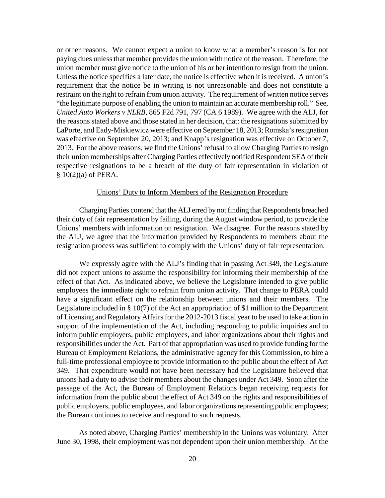or other reasons. We cannot expect a union to know what a member's reason is for not paying dues unless that member provides the union with notice of the reason. Therefore, the union member must give notice to the union of his or her intention to resign from the union. Unless the notice specifies a later date, the notice is effective when it is received. A union's requirement that the notice be in writing is not unreasonable and does not constitute a restraint on the right to refrain from union activity. The requirement of written notice serves "the legitimate purpose of enabling the union to maintain an accurate membership roll." See, *United Auto Workers v NLRB*, 865 F2d 791, 797 (CA 6 1989). We agree with the ALJ, for the reasons stated above and those stated in her decision, that: the resignations submitted by LaPorte, and Eady-Miskiewicz were effective on September 18, 2013; Romska's resignation was effective on September 20, 2013; and Knapp's resignation was effective on October 7, 2013. For the above reasons, we find the Unions' refusal to allow Charging Parties to resign their union memberships after Charging Parties effectively notified Respondent SEA of their respective resignations to be a breach of the duty of fair representation in violation of § 10(2)(a) of PERA.

### Unions' Duty to Inform Members of the Resignation Procedure

Charging Parties contend that the ALJ erred by not finding that Respondents breached their duty of fair representation by failing, during the August window period, to provide the Unions' members with information on resignation. We disagree. For the reasons stated by the ALJ, we agree that the information provided by Respondents to members about the resignation process was sufficient to comply with the Unions' duty of fair representation.

We expressly agree with the ALJ's finding that in passing Act 349, the Legislature did not expect unions to assume the responsibility for informing their membership of the effect of that Act. As indicated above, we believe the Legislature intended to give public employees the immediate right to refrain from union activity. That change to PERA could have a significant effect on the relationship between unions and their members. The Legislature included in § 10(7) of the Act an appropriation of \$1 million to the Department of Licensing and Regulatory Affairs for the 2012-2013 fiscal year to be used to take action in support of the implementation of the Act, including responding to public inquiries and to inform public employers, public employees, and labor organizations about their rights and responsibilities under the Act. Part of that appropriation was used to provide funding for the Bureau of Employment Relations, the administrative agency for this Commission, to hire a full-time professional employee to provide information to the public about the effect of Act 349. That expenditure would not have been necessary had the Legislature believed that unions had a duty to advise their members about the changes under Act 349. Soon after the passage of the Act, the Bureau of Employment Relations began receiving requests for information from the public about the effect of Act 349 on the rights and responsibilities of public employers, public employees, and labor organizations representing public employees; the Bureau continues to receive and respond to such requests.

As noted above, Charging Parties' membership in the Unions was voluntary. After June 30, 1998, their employment was not dependent upon their union membership. At the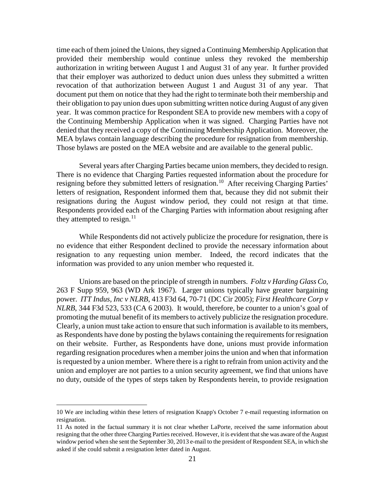time each of them joined the Unions, they signed a Continuing Membership Application that provided their membership would continue unless they revoked the membership authorization in writing between August 1 and August 31 of any year. It further provided that their employer was authorized to deduct union dues unless they submitted a written revocation of that authorization between August 1 and August 31 of any year. That document put them on notice that they had the right to terminate both their membership and their obligation to pay union dues upon submitting written notice during August of any given year. It was common practice for Respondent SEA to provide new members with a copy of the Continuing Membership Application when it was signed. Charging Parties have not denied that they received a copy of the Continuing Membership Application. Moreover, the MEA bylaws contain language describing the procedure for resignation from membership. Those bylaws are posted on the MEA website and are available to the general public.

Several years after Charging Parties became union members, they decided to resign. There is no evidence that Charging Parties requested information about the procedure for resigning before they submitted letters of resignation.<sup>10</sup> After receiving Charging Parties' letters of resignation, Respondent informed them that, because they did not submit their resignations during the August window period, they could not resign at that time. Respondents provided each of the Charging Parties with information about resigning after they attempted to resign. $11$ 

While Respondents did not actively publicize the procedure for resignation, there is no evidence that either Respondent declined to provide the necessary information about resignation to any requesting union member. Indeed, the record indicates that the information was provided to any union member who requested it.

Unions are based on the principle of strength in numbers. *Foltz v Harding Glass Co*, 263 F Supp 959, 963 (WD Ark 1967). Larger unions typically have greater bargaining power. *ITT Indus, Inc v NLRB*, 413 F3d 64, 70-71 (DC Cir 2005); *First Healthcare Corp v NLRB*, 344 F3d 523, 533 (CA 6 2003). It would, therefore, be counter to a union's goal of promoting the mutual benefit of its members to actively publicize the resignation procedure. Clearly, a union must take action to ensure that such information is available to its members, as Respondents have done by posting the bylaws containing the requirements for resignation on their website. Further, as Respondents have done, unions must provide information regarding resignation procedures when a member joins the union and when that information is requested by a union member. Where there is a right to refrain from union activity and the union and employer are not parties to a union security agreement, we find that unions have no duty, outside of the types of steps taken by Respondents herein, to provide resignation

<span id="page-20-0"></span><sup>10</sup> We are including within these letters of resignation Knapp's October 7 e-mail requesting information on resignation.

<span id="page-20-1"></span><sup>11</sup> As noted in the factual summary it is not clear whether LaPorte, received the same information about resigning that the other three Charging Parties received. However, it is evident that she was aware of the August window period when she sent the September 30, 2013 e-mail to the president of Respondent SEA, in which she asked if she could submit a resignation letter dated in August.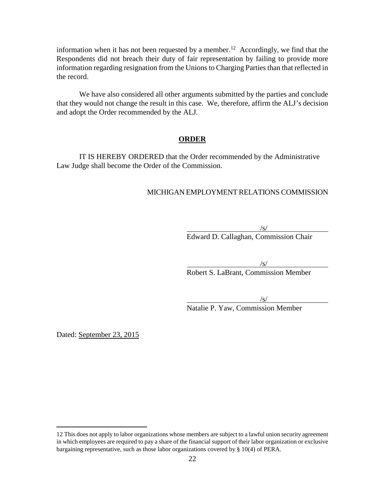information when it has not been requested by a member.<sup>[12](#page-21-0)</sup> Accordingly, we find that the Respondents did not breach their duty of fair representation by failing to provide more information regarding resignation from the Unions to Charging Parties than that reflected in the record.

We have also considered all other arguments submitted by the parties and conclude that they would not change the result in this case. We, therefore, affirm the ALJ's decision and adopt the Order recommended by the ALJ.

### **ORDER**

IT IS HEREBY ORDERED that the Order recommended by the Administrative Law Judge shall become the Order of the Commission.

### MICHIGAN EMPLOYMENT RELATIONS COMMISSION

 $\sqrt{s/}$ Edward D. Callaghan, Commission Chair

 $\sqrt{s/}$ 

Robert S. LaBrant, Commission Member

 $\sqrt{s}$ /

Natalie P. Yaw, Commission Member

Dated: September 23, 2015

<span id="page-21-0"></span><sup>12</sup> This does not apply to labor organizations whose members are subject to a lawful union security agreement in which employees are required to pay a share of the financial support of their labor organization or exclusive bargaining representative, such as those labor organizations covered by § 10(4) of PERA.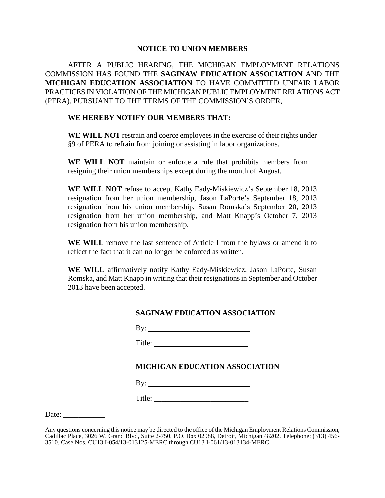### **NOTICE TO UNION MEMBERS**

AFTER A PUBLIC HEARING, THE MICHIGAN EMPLOYMENT RELATIONS COMMISSION HAS FOUND THE **SAGINAW EDUCATION ASSOCIATION** AND THE **MICHIGAN EDUCATION ASSOCIATION** TO HAVE COMMITTED UNFAIR LABOR PRACTICES IN VIOLATION OF THE MICHIGAN PUBLIC EMPLOYMENT RELATIONS ACT (PERA). PURSUANT TO THE TERMS OF THE COMMISSION'S ORDER,

## **WE HEREBY NOTIFY OUR MEMBERS THAT:**

**WE WILL NOT** restrain and coerce employees in the exercise of their rights under §9 of PERA to refrain from joining or assisting in labor organizations.

**WE WILL NOT** maintain or enforce a rule that prohibits members from resigning their union memberships except during the month of August.

**WE WILL NOT** refuse to accept Kathy Eady-Miskiewicz's September 18, 2013 resignation from her union membership, Jason LaPorte's September 18, 2013 resignation from his union membership, Susan Romska's September 20, 2013 resignation from her union membership, and Matt Knapp's October 7, 2013 resignation from his union membership.

**WE WILL** remove the last sentence of Article I from the bylaws or amend it to reflect the fact that it can no longer be enforced as written.

**WE WILL** affirmatively notify Kathy Eady-Miskiewicz, Jason LaPorte, Susan Romska, and Matt Knapp in writing that their resignations in September and October 2013 have been accepted.

## **SAGINAW EDUCATION ASSOCIATION**

By:  $\Box$ 

Title:

# **MICHIGAN EDUCATION ASSOCIATION**

By: \_\_\_\_\_\_\_\_\_\_\_\_\_\_\_\_\_\_\_\_\_\_\_\_\_\_\_

Title: \_\_\_\_\_\_\_\_\_\_\_\_\_\_\_\_\_\_\_\_\_\_\_\_\_

Date:

Any questions concerning this notice may be directed to the office of the Michigan Employment Relations Commission, Cadillac Place, 3026 W. Grand Blvd, Suite 2-750, P.O. Box 02988, Detroit, Michigan 48202. Telephone: (313) 456-<br>3510. Case Nos. CU13 I-054/13-013125-MERC through CU13 I-061/13-013134-MERC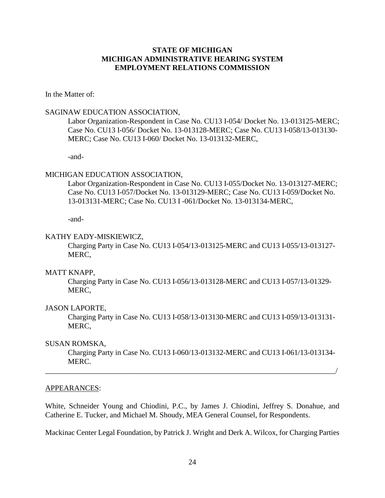# **STATE OF MICHIGAN MICHIGAN ADMINISTRATIVE HEARING SYSTEM EMPLOYMENT RELATIONS COMMISSION**

## In the Matter of:

## SAGINAW EDUCATION ASSOCIATION,

Labor Organization-Respondent in Case No. CU13 I-054/ Docket No. 13-013125-MERC; Case No. CU13 I-056/ Docket No. 13-013128-MERC; Case No. CU13 I-058/13-013130- MERC; Case No. CU13 I-060/ Docket No. 13-013132-MERC,

-and-

### MICHIGAN EDUCATION ASSOCIATION,

Labor Organization-Respondent in Case No. CU13 I-055/Docket No. 13-013127-MERC; Case No. CU13 I-057/Docket No. 13-013129-MERC; Case No. CU13 I-059/Docket No. 13-013131-MERC; Case No. CU13 I -061/Docket No. 13-013134-MERC,

-and-

#### KATHY EADY-MISKIEWICZ,

Charging Party in Case No. CU13 I-054/13-013125-MERC and CU13 I-055/13-013127- MERC,

### MATT KNAPP,

Charging Party in Case No. CU13 I-056/13-013128-MERC and CU13 I-057/13-01329- MERC,

## JASON LAPORTE,

Charging Party in Case No. CU13 I-058/13-013130-MERC and CU13 I-059/13-013131- MERC,

### SUSAN ROMSKA,

Charging Party in Case No. CU13 I-060/13-013132-MERC and CU13 I-061/13-013134- MERC.

\_\_\_\_\_\_\_\_\_\_\_\_\_\_\_\_\_\_\_\_\_\_\_\_\_\_\_\_\_\_\_\_\_\_\_\_\_\_\_\_\_\_\_\_\_\_\_\_\_\_\_\_\_\_\_\_\_\_\_\_\_\_\_\_\_\_\_\_\_\_\_\_\_\_\_\_\_/

#### APPEARANCES:

White, Schneider Young and Chiodini, P.C., by James J. Chiodini, Jeffrey S. Donahue, and Catherine E. Tucker, and Michael M. Shoudy, MEA General Counsel, for Respondents.

Mackinac Center Legal Foundation, by Patrick J. Wright and Derk A. Wilcox, for Charging Parties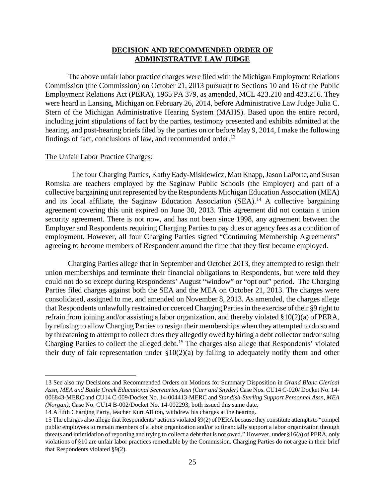## **DECISION AND RECOMMENDED ORDER OF ADMINISTRATIVE LAW JUDGE**

The above unfair labor practice charges were filed with the Michigan Employment Relations Commission (the Commission) on October 21, 2013 pursuant to Sections 10 and 16 of the Public Employment Relations Act (PERA), 1965 PA 379, as amended, MCL 423.210 and 423.216. They were heard in Lansing, Michigan on February 26, 2014, before Administrative Law Judge Julia C. Stern of the Michigan Administrative Hearing System (MAHS). Based upon the entire record, including joint stipulations of fact by the parties, testimony presented and exhibits admitted at the hearing, and post-hearing briefs filed by the parties on or before May 9, 2014, I make the following findings of fact, conclusions of law, and recommended order. $13$ 

#### The Unfair Labor Practice Charges:

 $\overline{a}$ 

 The four Charging Parties, Kathy Eady-Miskiewicz, Matt Knapp, Jason LaPorte, and Susan Romska are teachers employed by the Saginaw Public Schools (the Employer) and part of a collective bargaining unit represented by the Respondents Michigan Education Association (MEA) and its local affiliate, the Saginaw Education Association  $(SEA)$ .<sup>[14](#page-24-1)</sup> A collective bargaining agreement covering this unit expired on June 30, 2013. This agreement did not contain a union security agreement. There is not now, and has not been since 1998, any agreement between the Employer and Respondents requiring Charging Parties to pay dues or agency fees as a condition of employment. However, all four Charging Parties signed "Continuing Membership Agreements" agreeing to become members of Respondent around the time that they first became employed.

Charging Parties allege that in September and October 2013, they attempted to resign their union memberships and terminate their financial obligations to Respondents, but were told they could not do so except during Respondents' August "window" or "opt out" period. The Charging Parties filed charges against both the SEA and the MEA on October 21, 2013. The charges were consolidated, assigned to me, and amended on November 8, 2013. As amended, the charges allege that Respondents unlawfully restrained or coerced Charging Parties in the exercise of their §9 right to refrain from joining and/or assisting a labor organization, and thereby violated §10(2)(a) of PERA, by refusing to allow Charging Parties to resign their memberships when they attempted to do so and by threatening to attempt to collect dues they allegedly owed by hiring a debt collector and/or suing Charging Parties to collect the alleged debt.<sup>[15](#page-24-2)</sup> The charges also allege that Respondents' violated their duty of fair representation under  $$10(2)(a)$  by failing to adequately notify them and other

<span id="page-24-0"></span><sup>13</sup> See also my Decisions and Recommended Orders on Motions for Summary Disposition in *Grand Blanc Clerical Assn, MEA and Battle Creek Educational Secretaries Assn (Carr and Snyder)* Case Nos. CU14 C-020/ Docket No. 14- 006843-MERC and CU14 C-009/Docket No. 14-004413-MERC and *Standish-Sterling Support Personnel Assn, MEA (Norgan),* Case No. CU14 B-002/Docket No. 14-002293, both issued this same date.

<span id="page-24-1"></span><sup>14</sup> A fifth Charging Party, teacher Kurt Alliton, withdrew his charges at the hearing.

<span id="page-24-2"></span><sup>15</sup> The charges also allege that Respondents' actions violated §9(2) of PERA because they constitute attempts to "compel public employees to remain members of a labor organization and/or to financially support a labor organization through threats and intimidation of reporting and trying to collect a debt that is not owed." However, under §16(a) of PERA, only violations of §10 are unfair labor practices remediable by the Commission. Charging Parties do not argue in their brief that Respondents violated §9(2).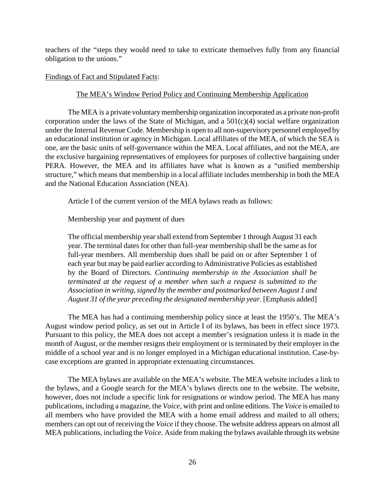teachers of the "steps they would need to take to extricate themselves fully from any financial obligation to the unions."

## Findings of Fact and Stipulated Facts:

# The MEA's Window Period Policy and Continuing Membership Application

The MEA is a private voluntary membership organization incorporated as a private non-profit corporation under the laws of the State of Michigan, and a  $501(c)(4)$  social welfare organization under the Internal Revenue Code. Membership is open to all non-supervisory personnel employed by an educational institution or agency in Michigan. Local affiliates of the MEA, of which the SEA is one, are the basic units of self-governance within the MEA. Local affiliates, and not the MEA, are the exclusive bargaining representatives of employees for purposes of collective bargaining under PERA. However, the MEA and its affiliates have what is known as a "unified membership structure," which means that membership in a local affiliate includes membership in both the MEA and the National Education Association (NEA).

Article I of the current version of the MEA bylaws reads as follows:

Membership year and payment of dues

The official membership year shall extend from September 1 through August 31 each year. The terminal dates for other than full-year membership shall be the same as for full-year members. All membership dues shall be paid on or after September 1 of each year but may be paid earlier according to Administrative Policies as established by the Board of Directors. *Continuing membership in the Association shall be terminated at the request of a member when such a request is submitted to the Association in writing, signed by the member and postmarked between August 1 and August 31 of the year preceding the designated membership year.* [Emphasis added]

The MEA has had a continuing membership policy since at least the 1950's. The MEA's August window period policy, as set out in Article I of its bylaws, has been in effect since 1973. Pursuant to this policy, the MEA does not accept a member's resignation unless it is made in the month of August, or the member resigns their employment or is terminated by their employer in the middle of a school year and is no longer employed in a Michigan educational institution. Case-bycase exceptions are granted in appropriate extenuating circumstances.

The MEA bylaws are available on the MEA's website. The MEA website includes a link to the bylaws, and a Google search for the MEA's bylaws directs one to the website. The website, however, does not include a specific link for resignations or window period. The MEA has many publications, including a magazine, the *Voice,* with print and online editions. The *Voice* is emailed to all members who have provided the MEA with a home email address and mailed to all others; members can opt out of receiving the *Voice* if they choose. The website address appears on almost all MEA publications, including the *Voice.* Aside from making the bylaws available through its website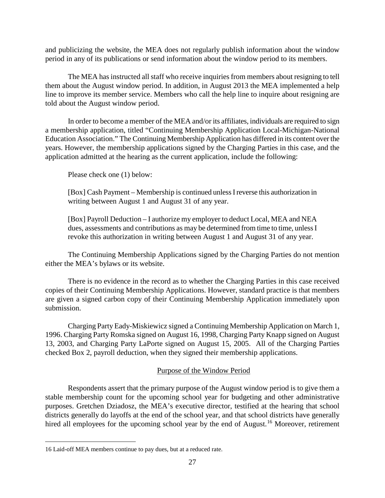and publicizing the website, the MEA does not regularly publish information about the window period in any of its publications or send information about the window period to its members.

The MEA has instructed all staff who receive inquiries from members about resigning to tell them about the August window period. In addition, in August 2013 the MEA implemented a help line to improve its member service. Members who call the help line to inquire about resigning are told about the August window period.

In order to become a member of the MEA and/or its affiliates, individuals are required to sign a membership application, titled "Continuing Membership Application Local-Michigan-National Education Association." The Continuing Membership Application has differed in its content over the years. However, the membership applications signed by the Charging Parties in this case, and the application admitted at the hearing as the current application, include the following:

Please check one (1) below:

[Box] Cash Payment – Membership is continued unless I reverse this authorization in writing between August 1 and August 31 of any year.

[Box] Payroll Deduction – I authorize my employer to deduct Local, MEA and NEA dues, assessments and contributions as may be determined from time to time, unless I revoke this authorization in writing between August 1 and August 31 of any year.

The Continuing Membership Applications signed by the Charging Parties do not mention either the MEA's bylaws or its website.

There is no evidence in the record as to whether the Charging Parties in this case received copies of their Continuing Membership Applications. However, standard practice is that members are given a signed carbon copy of their Continuing Membership Application immediately upon submission.

Charging Party Eady-Miskiewicz signed a Continuing Membership Application on March 1, 1996. Charging Party Romska signed on August 16, 1998, Charging Party Knapp signed on August 13, 2003, and Charging Party LaPorte signed on August 15, 2005. All of the Charging Parties checked Box 2, payroll deduction, when they signed their membership applications.

# Purpose of the Window Period

Respondents assert that the primary purpose of the August window period is to give them a stable membership count for the upcoming school year for budgeting and other administrative purposes. Gretchen Dziadosz, the MEA's executive director, testified at the hearing that school districts generally do layoffs at the end of the school year, and that school districts have generally hired all employees for the upcoming school year by the end of August.<sup>[16](#page-26-0)</sup> Moreover, retirement

<span id="page-26-0"></span><sup>16</sup> Laid-off MEA members continue to pay dues, but at a reduced rate.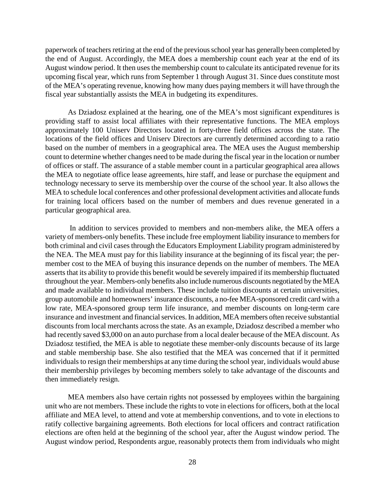paperwork of teachers retiring at the end of the previous school year has generally been completed by the end of August. Accordingly, the MEA does a membership count each year at the end of its August window period. It then uses the membership count to calculate its anticipated revenue for its upcoming fiscal year, which runs from September 1 through August 31. Since dues constitute most of the MEA's operating revenue, knowing how many dues paying members it will have through the fiscal year substantially assists the MEA in budgeting its expenditures.

As Dziadosz explained at the hearing, one of the MEA's most significant expenditures is providing staff to assist local affiliates with their representative functions. The MEA employs approximately 100 Uniserv Directors located in forty-three field offices across the state. The locations of the field offices and Uniserv Directors are currently determined according to a ratio based on the number of members in a geographical area. The MEA uses the August membership count to determine whether changes need to be made during the fiscal year in the location or number of offices or staff. The assurance of a stable member count in a particular geographical area allows the MEA to negotiate office lease agreements, hire staff, and lease or purchase the equipment and technology necessary to serve its membership over the course of the school year. It also allows the MEA to schedule local conferences and other professional development activities and allocate funds for training local officers based on the number of members and dues revenue generated in a particular geographical area.

In addition to services provided to members and non-members alike, the MEA offers a variety of members-only benefits. These include free employment liability insurance to members for both criminal and civil cases through the Educators Employment Liability program administered by the NEA. The MEA must pay for this liability insurance at the beginning of its fiscal year; the permember cost to the MEA of buying this insurance depends on the number of members. The MEA asserts that its ability to provide this benefit would be severely impaired if its membership fluctuated throughout the year. Members-only benefits also include numerous discounts negotiated by the MEA and made available to individual members. These include tuition discounts at certain universities, group automobile and homeowners' insurance discounts, a no-fee MEA-sponsored credit card with a low rate, MEA-sponsored group term life insurance, and member discounts on long-term care insurance and investment and financial services. In addition, MEA members often receive substantial discounts from local merchants across the state. As an example, Dziadosz described a member who had recently saved \$3,000 on an auto purchase from a local dealer because of the MEA discount. As Dziadosz testified, the MEA is able to negotiate these member-only discounts because of its large and stable membership base. She also testified that the MEA was concerned that if it permitted individuals to resign their memberships at any time during the school year, individuals would abuse their membership privileges by becoming members solely to take advantage of the discounts and then immediately resign.

MEA members also have certain rights not possessed by employees within the bargaining unit who are not members. These include the rights to vote in elections for officers, both at the local affiliate and MEA level, to attend and vote at membership conventions, and to vote in elections to ratify collective bargaining agreements. Both elections for local officers and contract ratification elections are often held at the beginning of the school year, after the August window period. The August window period, Respondents argue, reasonably protects them from individuals who might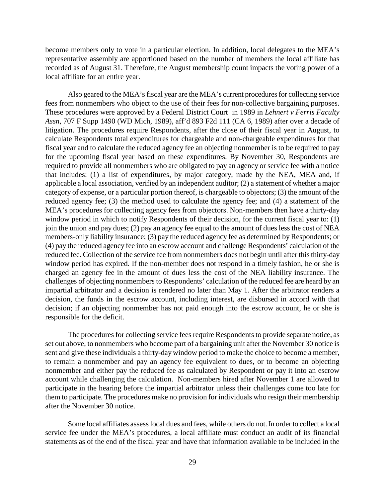become members only to vote in a particular election. In addition, local delegates to the MEA's representative assembly are apportioned based on the number of members the local affiliate has recorded as of August 31. Therefore, the August membership count impacts the voting power of a local affiliate for an entire year.

Also geared to the MEA's fiscal year are the MEA's current procedures for collecting service fees from nonmembers who object to the use of their fees for non-collective bargaining purposes. These procedures were approved by a Federal District Court in 1989 in *Lehnert v Ferris Faculty Assn,* 707 F Supp 1490 (WD Mich, 1989), aff'd 893 F2d 111 (CA 6, 1989) after over a decade of litigation. The procedures require Respondents, after the close of their fiscal year in August, to calculate Respondents total expenditures for chargeable and non-chargeable expenditures for that fiscal year and to calculate the reduced agency fee an objecting nonmember is to be required to pay for the upcoming fiscal year based on these expenditures. By November 30, Respondents are required to provide all nonmembers who are obligated to pay an agency or service fee with a notice that includes: (1) a list of expenditures, by major category, made by the NEA, MEA and, if applicable a local association, verified by an independent auditor; (2) a statement of whether a major category of expense, or a particular portion thereof, is chargeable to objectors; (3) the amount of the reduced agency fee; (3) the method used to calculate the agency fee; and (4) a statement of the MEA's procedures for collecting agency fees from objectors. Non-members then have a thirty-day window period in which to notify Respondents of their decision, for the current fiscal year to: (1) join the union and pay dues; (2) pay an agency fee equal to the amount of dues less the cost of NEA members-only liability insurance; (3) pay the reduced agency fee as determined by Respondents; or (4) pay the reduced agency fee into an escrow account and challenge Respondents' calculation of the reduced fee. Collection of the service fee from nonmembers does not begin until after this thirty-day window period has expired. If the non-member does not respond in a timely fashion, he or she is charged an agency fee in the amount of dues less the cost of the NEA liability insurance. The challenges of objecting nonmembers to Respondents' calculation of the reduced fee are heard by an impartial arbitrator and a decision is rendered no later than May 1. After the arbitrator renders a decision, the funds in the escrow account, including interest, are disbursed in accord with that decision; if an objecting nonmember has not paid enough into the escrow account, he or she is responsible for the deficit.

The procedures for collecting service fees require Respondents to provide separate notice, as set out above, to nonmembers who become part of a bargaining unit after the November 30 notice is sent and give these individuals a thirty-day window period to make the choice to become a member, to remain a nonmember and pay an agency fee equivalent to dues, or to become an objecting nonmember and either pay the reduced fee as calculated by Respondent or pay it into an escrow account while challenging the calculation. Non-members hired after November 1 are allowed to participate in the hearing before the impartial arbitrator unless their challenges come too late for them to participate. The procedures make no provision for individuals who resign their membership after the November 30 notice.

Some local affiliates assess local dues and fees, while others do not. In order to collect a local service fee under the MEA's procedures, a local affiliate must conduct an audit of its financial statements as of the end of the fiscal year and have that information available to be included in the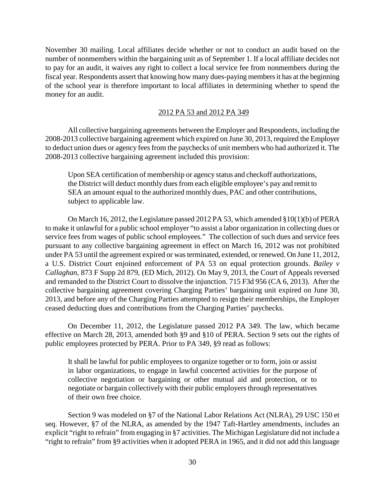November 30 mailing. Local affiliates decide whether or not to conduct an audit based on the number of nonmembers within the bargaining unit as of September 1. If a local affiliate decides not to pay for an audit, it waives any right to collect a local service fee from nonmembers during the fiscal year. Respondents assert that knowing how many dues-paying membersit has at the beginning of the school year is therefore important to local affiliates in determining whether to spend the money for an audit.

#### 2012 PA 53 and 2012 PA 349

All collective bargaining agreements between the Employer and Respondents, including the 2008-2013 collective bargaining agreement which expired on June 30, 2013, required the Employer to deduct union dues or agency fees from the paychecks of unit members who had authorized it. The 2008-2013 collective bargaining agreement included this provision:

Upon SEA certification of membership or agency status and checkoff authorizations, the District will deduct monthly dues from each eligible employee's pay and remit to SEA an amount equal to the authorized monthly dues, PAC and other contributions, subject to applicable law.

On March 16, 2012, the Legislature passed 2012 PA 53, which amended §10(1)(b) of PERA to make it unlawful for a public school employer "to assist a labor organization in collecting dues or service fees from wages of public school employees." The collection of such dues and service fees pursuant to any collective bargaining agreement in effect on March 16, 2012 was not prohibited under PA 53 until the agreement expired or was terminated, extended, or renewed. On June 11, 2012, a U.S. District Court enjoined enforcement of PA 53 on equal protection grounds. *Bailey v Callaghan,* 873 F Supp 2d 879, (ED Mich, 2012). On May 9, 2013, the Court of Appeals reversed and remanded to the District Court to dissolve the injunction. 715 F3d 956 (CA 6, 2013). After the collective bargaining agreement covering Charging Parties' bargaining unit expired on June 30, 2013, and before any of the Charging Parties attempted to resign their memberships, the Employer ceased deducting dues and contributions from the Charging Parties' paychecks.

On December 11, 2012, the Legislature passed 2012 PA 349. The law, which became effective on March 28, 2013, amended both §9 and §10 of PERA. Section 9 sets out the rights of public employees protected by PERA. Prior to PA 349, §9 read as follows:

It shall be lawful for public employees to organize together or to form, join or assist in labor organizations, to engage in lawful concerted activities for the purpose of collective negotiation or bargaining or other mutual aid and protection, or to negotiate or bargain collectively with their public employers through representatives of their own free choice.

Section 9 was modeled on §7 of the National Labor Relations Act (NLRA), 29 USC 150 et seq. However, §7 of the NLRA, as amended by the 1947 Taft-Hartley amendments, includes an explicit "right to refrain" from engaging in §7 activities. The Michigan Legislature did not include a "right to refrain" from §9 activities when it adopted PERA in 1965, and it did not add this language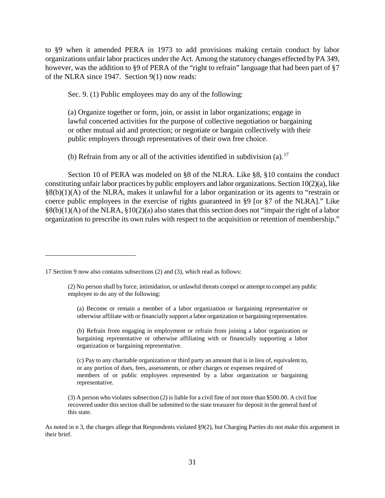to §9 when it amended PERA in 1973 to add provisions making certain conduct by labor organizations unfair labor practices under the Act. Among the statutory changes effected by PA 349, however, was the addition to §9 of PERA of the "right to refrain" language that had been part of §7 of the NLRA since 1947. Section 9(1) now reads:

Sec. 9. (1) Public employees may do any of the following:

(a) Organize together or form, join, or assist in labor organizations; engage in lawful concerted activities for the purpose of collective negotiation or bargaining or other mutual aid and protection; or negotiate or bargain collectively with their public employers through representatives of their own free choice.

(b) Refrain from any or all of the activities identified in subdivision (a).<sup>[17](#page-30-0)</sup>

Section 10 of PERA was modeled on §8 of the NLRA. Like §8, §10 contains the conduct constituting unfair labor practices by public employers and labor organizations. Section 10(2)(a), like §8(b)(1)(A) of the NLRA, makes it unlawful for a labor organization or its agents to "restrain or coerce public employees in the exercise of rights guaranteed in §9 [or §7 of the NLRA]." Like §8(b)(1)(A) of the NLRA, §10(2)(a) also states that this section does not "impair the right of a labor organization to prescribe its own rules with respect to the acquisition or retention of membership."

 $\overline{a}$ 

(a) Become or remain a member of a labor organization or bargaining representative or otherwise affiliate with or financially support a labor organization or bargaining representative.

(b) Refrain from engaging in employment or refrain from joining a labor organization or bargaining representative or otherwise affiliating with or financially supporting a labor organization or bargaining representative.

(c) Pay to any charitable organization or third party an amount that is in lieu of, equivalent to, or any portion of dues, fees, assessments, or other charges or expenses required of members of or public employees represented by a labor organization or bargaining representative.

 $(3)$  A person who violates subsection  $(2)$  is liable for a civil fine of not more than \$500.00. A civil fine recovered under this section shall be submitted to the state treasurer for deposit in the general fund of this state.

As noted in n 3, the charges allege that Respondents violated §9(2), but Charging Parties do not make this argument in their brief.

<span id="page-30-0"></span><sup>17</sup> Section 9 now also contains subsections (2) and (3), which read as follows:

<sup>(2)</sup> No person shall by force, intimidation, or unlawful threats compel or attempt to compel any public employee to do any of the following: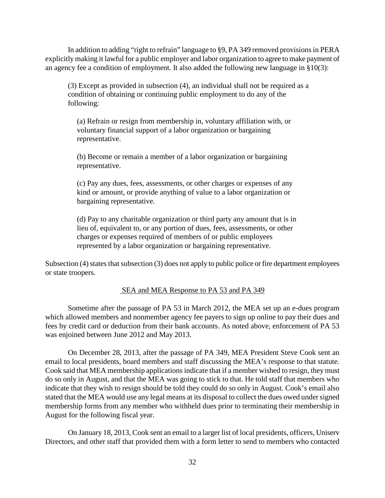In addition to adding "right to refrain" language to §9, PA 349 removed provisions in PERA explicitly making it lawful for a public employer and labor organization to agree to make payment of an agency fee a condition of employment. It also added the following new language in §10(3):

(3) Except as provided in subsection (4), an individual shall not be required as a condition of obtaining or continuing public employment to do any of the following:

(a) Refrain or resign from membership in, voluntary affiliation with, or voluntary financial support of a labor organization or bargaining representative.

(b) Become or remain a member of a labor organization or bargaining representative.

(c) Pay any dues, fees, assessments, or other charges or expenses of any kind or amount, or provide anything of value to a labor organization or bargaining representative.

(d) Pay to any charitable organization or third party any amount that is in lieu of, equivalent to, or any portion of dues, fees, assessments, or other charges or expenses required of members of or public employees represented by a labor organization or bargaining representative.

Subsection (4) states that subsection (3) does not apply to public police or fire department employees or state troopers.

## SEA and MEA Response to PA 53 and PA 349

Sometime after the passage of PA 53 in March 2012, the MEA set up an e-dues program which allowed members and nonmember agency fee payers to sign up online to pay their dues and fees by credit card or deduction from their bank accounts. As noted above, enforcement of PA 53 was enjoined between June 2012 and May 2013.

On December 28, 2013, after the passage of PA 349, MEA President Steve Cook sent an email to local presidents, board members and staff discussing the MEA's response to that statute. Cook said that MEA membership applications indicate that if a member wished to resign, they must do so only in August, and that the MEA was going to stick to that. He told staff that members who indicate that they wish to resign should be told they could do so only in August. Cook's email also stated that the MEA would use any legal means at its disposal to collect the dues owed under signed membership forms from any member who withheld dues prior to terminating their membership in August for the following fiscal year.

On January 18, 2013, Cook sent an email to a larger list of local presidents, officers, Uniserv Directors, and other staff that provided them with a form letter to send to members who contacted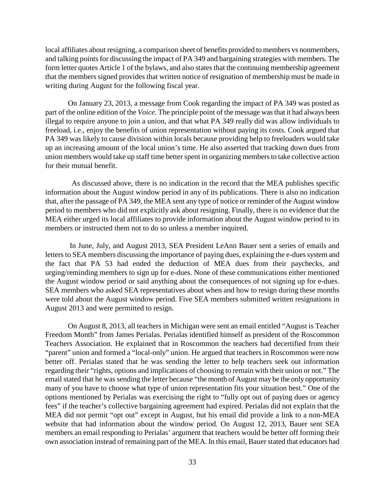local affiliates about resigning, a comparison sheet of benefits provided to members vs nonmembers, and talking points for discussing the impact of PA 349 and bargaining strategies with members. The form letter quotes Article 1 of the bylaws, and also states that the continuing membership agreement that the members signed provides that written notice of resignation of membership must be made in writing during August for the following fiscal year.

On January 23, 2013, a message from Cook regarding the impact of PA 349 was posted as part of the online edition of the *Voice.* The principle point of the message was that it had always been illegal to require anyone to join a union, and that what PA 349 really did was allow individuals to freeload, i.e., enjoy the benefits of union representation without paying its costs. Cook argued that PA 349 was likely to cause division within locals because providing help to freeloaders would take up an increasing amount of the local union's time. He also asserted that tracking down dues from union members would take up staff time better spent in organizing members to take collective action for their mutual benefit.

 As discussed above, there is no indication in the record that the MEA publishes specific information about the August window period in any of its publications. There is also no indication that, after the passage of PA 349, the MEA sent any type of notice or reminder of the August window period to members who did not explicitly ask about resigning. Finally, there is no evidence that the MEA either urged its local affiliates to provide information about the August window period to its members or instructed them not to do so unless a member inquired.

In June, July, and August 2013, SEA President LeAnn Bauer sent a series of emails and letters to SEA members discussing the importance of paying dues, explaining the e-dues system and the fact that PA 53 had ended the deduction of MEA dues from their paychecks, and urging/reminding members to sign up for e-dues. None of these communications either mentioned the August window period or said anything about the consequences of not signing up for e-dues. SEA members who asked SEA representatives about when and how to resign during these months were told about the August window period. Five SEA members submitted written resignations in August 2013 and were permitted to resign.

On August 8, 2013, all teachers in Michigan were sent an email entitled "August is Teacher Freedom Month" from James Perialas. Perialas identified himself as president of the Roscommon Teachers Association. He explained that in Roscommon the teachers had decertified from their "parent" union and formed a "local-only" union. He argued that teachers in Roscommon were now better off. Perialas stated that he was sending the letter to help teachers seek out information regarding their "rights, options and implications of choosing to remain with their union or not." The email stated that he was sending the letter because "the month of August may be the only opportunity many of you have to choose what type of union representation fits your situation best." One of the options mentioned by Perialas was exercising the right to "fully opt out of paying dues or agency fees" if the teacher's collective bargaining agreement had expired. Perialas did not explain that the MEA did not permit "opt out" except in August, but his email did provide a link to a non-MEA website that had information about the window period. On August 12, 2013, Bauer sent SEA members an email responding to Perialas' argument that teachers would be better off forming their own association instead of remaining part of the MEA. In this email, Bauer stated that educators had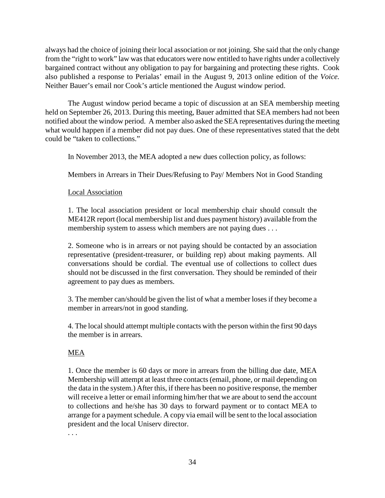always had the choice of joining their local association or not joining. She said that the only change from the "right to work" law was that educators were now entitled to have rights under a collectively bargained contract without any obligation to pay for bargaining and protecting these rights. Cook also published a response to Perialas' email in the August 9, 2013 online edition of the *Voice.*  Neither Bauer's email nor Cook's article mentioned the August window period.

The August window period became a topic of discussion at an SEA membership meeting held on September 26, 2013. During this meeting, Bauer admitted that SEA members had not been notified about the window period. A member also asked the SEA representatives during the meeting what would happen if a member did not pay dues. One of these representatives stated that the debt could be "taken to collections."

In November 2013, the MEA adopted a new dues collection policy, as follows:

Members in Arrears in Their Dues/Refusing to Pay/ Members Not in Good Standing

Local Association

1. The local association president or local membership chair should consult the ME412R report (local membership list and dues payment history) available from the membership system to assess which members are not paying dues . . .

2. Someone who is in arrears or not paying should be contacted by an association representative (president-treasurer, or building rep) about making payments. All conversations should be cordial. The eventual use of collections to collect dues should not be discussed in the first conversation. They should be reminded of their agreement to pay dues as members.

3. The member can/should be given the list of what a member loses if they become a member in arrears/not in good standing.

4. The local should attempt multiple contacts with the person within the first 90 days the member is in arrears.

# MEA

1. Once the member is 60 days or more in arrears from the billing due date, MEA Membership will attempt at least three contacts(email, phone, or mail depending on the data in the system.) After this, if there has been no positive response, the member will receive a letter or email informing him/her that we are about to send the account to collections and he/she has 30 days to forward payment or to contact MEA to arrange for a payment schedule. A copy via email will be sent to the local association president and the local Uniserv director.

. . .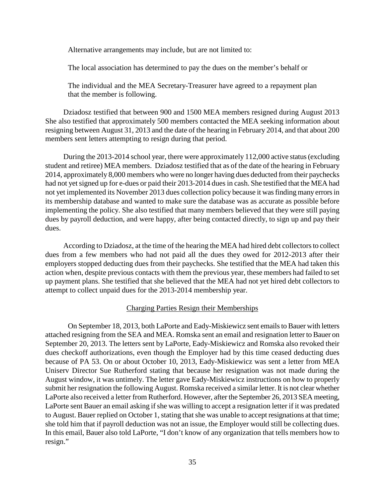Alternative arrangements may include, but are not limited to:

The local association has determined to pay the dues on the member's behalf or

The individual and the MEA Secretary-Treasurer have agreed to a repayment plan that the member is following.

Dziadosz testified that between 900 and 1500 MEA members resigned during August 2013 She also testified that approximately 500 members contacted the MEA seeking information about resigning between August 31, 2013 and the date of the hearing in February 2014, and that about 200 members sent letters attempting to resign during that period.

During the 2013-2014 school year, there were approximately 112,000 active status (excluding student and retiree) MEA members. Dziadosz testified that as of the date of the hearing in February 2014, approximately 8,000 members who were no longer having dues deducted from their paychecks had not yet signed up for e-dues or paid their 2013-2014 dues in cash. She testified that the MEA had not yet implemented its November 2013 dues collection policy because it was finding many errors in its membership database and wanted to make sure the database was as accurate as possible before implementing the policy. She also testified that many members believed that they were still paying dues by payroll deduction, and were happy, after being contacted directly, to sign up and pay their dues.

According to Dziadosz, at the time of the hearing the MEA had hired debt collectors to collect dues from a few members who had not paid all the dues they owed for 2012-2013 after their employers stopped deducting dues from their paychecks. She testified that the MEA had taken this action when, despite previous contacts with them the previous year, these members had failed to set up payment plans. She testified that she believed that the MEA had not yet hired debt collectors to attempt to collect unpaid dues for the 2013-2014 membership year.

#### Charging Parties Resign their Memberships

On September 18, 2013, both LaPorte and Eady-Miskiewicz sent emails to Bauer with letters attached resigning from the SEA and MEA. Romska sent an email and resignation letter to Bauer on September 20, 2013. The letters sent by LaPorte, Eady-Miskiewicz and Romska also revoked their dues checkoff authorizations, even though the Employer had by this time ceased deducting dues because of PA 53. On or about October 10, 2013, Eady-Miskiewicz was sent a letter from MEA Uniserv Director Sue Rutherford stating that because her resignation was not made during the August window, it was untimely. The letter gave Eady-Miskiewicz instructions on how to properly submit her resignation the following August. Romska received a similar letter. It is not clear whether LaPorte also received a letter from Rutherford. However, after the September 26, 2013 SEA meeting, LaPorte sent Bauer an email asking if she was willing to accept a resignation letter if it was predated to August. Bauer replied on October 1, stating that she was unable to accept resignations at that time; she told him that if payroll deduction was not an issue, the Employer would still be collecting dues. In this email, Bauer also told LaPorte, "I don't know of any organization that tells members how to resign."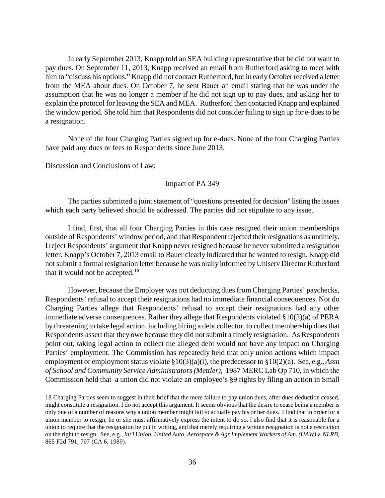In early September 2013, Knapp told an SEA building representative that he did not want to pay dues. On September 11, 2013, Knapp received an email from Rutherford asking to meet with him to "discuss his options." Knapp did not contact Rutherford, but in early October received a letter from the MEA about dues. On October 7, he sent Bauer an email stating that he was under the assumption that he was no longer a member if he did not sign up to pay dues, and asking her to explain the protocol for leaving the SEA and MEA. Rutherford then contacted Knapp and explained the window period. She told him that Respondents did not consider failing to sign up for e-dues to be a resignation.

None of the four Charging Parties signed up for e-dues. None of the four Charging Parties have paid any dues or fees to Respondents since June 2013.

### Discussion and Conclusions of Law:

 $\overline{a}$ 

### Impact of PA 349

The parties submitted a joint statement of "questions presented for decision" listing the issues which each party believed should be addressed. The parties did not stipulate to any issue.

I find, first, that all four Charging Parties in this case resigned their union memberships outside of Respondents' window period, and that Respondent rejected their resignations as untimely. I reject Respondents' argument that Knapp never resigned because he never submitted a resignation letter. Knapp's October 7, 2013 email to Bauer clearly indicated that he wanted to resign. Knapp did not submit a formal resignation letter because he was orally informed by Uniserv Director Rutherford that it would not be accepted.<sup>[18](#page-35-0)</sup>

However, because the Employer was not deducting dues from Charging Parties' paychecks, Respondents' refusal to accept their resignations had no immediate financial consequences. Nor do Charging Parties allege that Respondents' refusal to accept their resignations had any other immediate adverse consequences. Rather they allege that Respondents violated §10(2)(a) of PERA by threatening to take legal action, including hiring a debt collector, to collect membership dues that Respondents assert that they owe because they did not submit a timely resignation. As Respondents point out, taking legal action to collect the alleged debt would not have any impact on Charging Parties' employment. The Commission has repeatedly held that only union actions which impact employment or employment status violate §10(3)(a)(i), the predecessor to §10(2)(a). See, e.g., *Assn of School and Community Service Administrators (Mettler),* 1987 MERC Lab Op 710, in which the Commission held that a union did not violate an employee's §9 rights by filing an action in Small

<span id="page-35-0"></span><sup>18</sup> Charging Parties seem to suggest in their brief that the mere failure to pay union dues, after dues deduction ceased, might constitute a resignation. I do not accept this argument. It seems obvious that the desire to cease being a member is only one of a number of reasons why a union member might fail to actually pay his or her dues. I find that in order for a union member to resign, he or she must affirmatively express the intent to do so. I also find that it is reasonable for a union to require that the resignation be put in writing, and that merely requiring a written resignation is not a restriction on the right to resign. See, e.g., *Int'l Union, United Auto, Aerospace & Agr Implement Workers of Am. (UAW) v NLRB*, 865 F2d 791, 797 (CA 6, 1989).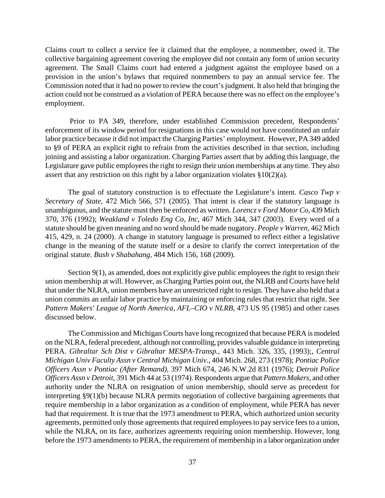Claims court to collect a service fee it claimed that the employee, a nonmember, owed it. The collective bargaining agreement covering the employee did not contain any form of union security agreement. The Small Claims court had entered a judgment against the employee based on a provision in the union's bylaws that required nonmembers to pay an annual service fee. The Commission noted that it had no power to review the court's judgment. It also held that bringing the action could not be construed as a violation of PERA because there was no effect on the employee's employment.

Prior to PA 349, therefore, under established Commission precedent, Respondents' enforcement of its window period for resignations in this case would not have constituted an unfair labor practice because it did not impact the Charging Parties' employment. However, PA 349 added to §9 of PERA an explicit right to refrain from the activities described in that section, including joining and assisting a labor organization. Charging Parties assert that by adding this language, the Legislature gave public employees the right to resign their union memberships at any time. They also assert that any restriction on this right by a labor organization violates §10(2)(a).

The goal of statutory construction is to effectuate the Legislature's intent. *Casco Twp v Secretary of State,* 472 Mich 566, 571 (2005). That intent is clear if the statutory language is unambiguous, and the statute must then be enforced as written. *Lorencz v Ford Motor Co,* 439 Mich 370, 376 (1992); *Weakland v Toledo Eng Co, Inc*, 467 Mich 344, 347 (2003). Every word of a statute should be given meaning and no word should be made nugatory. *People v Warren,* 462 Mich 415, 429, n. 24 (2000). A change in statutory language is presumed to reflect either a legislative change in the meaning of the statute itself or a desire to clarify the correct interpretation of the original statute. *Bush v Shabahang,* 484 Mich 156, 168 (2009).

Section 9(1), as amended, does not explicitly give public employees the right to resign their union membership at will. However, as Charging Parties point out, the NLRB and Courts have held that under the NLRA, union members have an unrestricted right to resign. They have also held that a union commits an unfair labor practice by maintaining or enforcing rules that restrict that right. See *Pattern Makers' League of North America, AFL–CIO v NLRB,* 473 US 95 (1985) and other cases discussed below.

The Commission and Michigan Courts have long recognized that because PERA is modeled on the NLRA, federal precedent, although not controlling, provides valuable guidance in interpreting PERA. *Gibraltar Sch Dist v Gibraltar MESPA-Transp.,* 443 Mich. 326, 335, (1993);, *Central Michigan Univ Faculty Assn v Central Michigan Univ.,* 404 Mich. 268, 273 (1978); *Pontiac Police Officers Assn v Pontiac (After Remand),* 397 Mich 674, 246 N.W.2d 831 (1976); *Detroit Police Officers Assn v Detroit,* 391 Mich 44 at 53 (1974). Respondents argue that *Pattern Makers,* and other authority under the NLRA on resignation of union membership, should serve as precedent for interpreting §9(1)(b) because NLRA permits negotiation of collective bargaining agreements that require membership in a labor organization as a condition of employment, while PERA has never had that requirement. It is true that the 1973 amendment to PERA, which authorized union security agreements, permitted only those agreements that required employees to pay service fees to a union, while the NLRA, on its face, authorizes agreements requiring union membership. However, long before the 1973 amendments to PERA, the requirement of membership in a labor organization under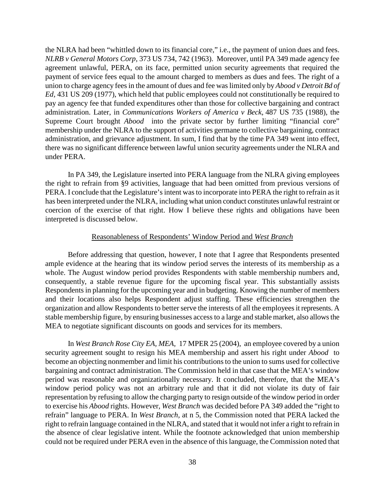the NLRA had been "whittled down to its financial core," i.e., the payment of union dues and fees. *NLRB v General Motors Corp,* 373 US 734, 742 (1963). Moreover, until PA 349 made agency fee agreement unlawful, PERA, on its face, permitted union security agreements that required the payment of service fees equal to the amount charged to members as dues and fees. The right of a union to charge agency fees in the amount of dues and fee was limited only by *Abood v Detroit Bd of Ed,* 431 US 209 (1977), which held that public employees could not constitutionally be required to pay an agency fee that funded expenditures other than those for collective bargaining and contract administration. Later, in *Communications Workers of America v Beck,* 487 US 735 (1988), the Supreme Court brought *Abood* into the private sector by further limiting "financial core" membership under the NLRA to the support of activities germane to collective bargaining, contract administration, and grievance adjustment. In sum, I find that by the time PA 349 went into effect, there was no significant difference between lawful union security agreements under the NLRA and under PERA.

In PA 349, the Legislature inserted into PERA language from the NLRA giving employees the right to refrain from §9 activities, language that had been omitted from previous versions of PERA. I conclude that the Legislature's intent was to incorporate into PERA the right to refrain as it has been interpreted under the NLRA, including what union conduct constitutes unlawful restraint or coercion of the exercise of that right. How I believe these rights and obligations have been interpreted is discussed below.

### Reasonableness of Respondents' Window Period and *West Branch*

Before addressing that question, however, I note that I agree that Respondents presented ample evidence at the hearing that its window period serves the interests of its membership as a whole. The August window period provides Respondents with stable membership numbers and, consequently, a stable revenue figure for the upcoming fiscal year. This substantially assists Respondents in planning for the upcoming year and in budgeting. Knowing the number of members and their locations also helps Respondent adjust staffing. These efficiencies strengthen the organization and allow Respondents to better serve the interests of all the employees it represents. A stable membership figure, by ensuring businesses access to a large and stable market, also allows the MEA to negotiate significant discounts on goods and services for its members.

In *West Branch Rose City EA, MEA,* 17 MPER 25 (2004), an employee covered by a union security agreement sought to resign his MEA membership and assert his right under *Abood* to become an objecting nonmember and limit his contributions to the union to sums used for collective bargaining and contract administration. The Commission held in that case that the MEA's window period was reasonable and organizationally necessary. It concluded, therefore, that the MEA's window period policy was not an arbitrary rule and that it did not violate its duty of fair representation by refusing to allow the charging party to resign outside of the window period in order to exercise his *Abood* rights. However, *West Branch* was decided before PA 349 added the "right to refrain" language to PERA. In *West Branch,* at n 5, the Commission noted that PERA lacked the right to refrain language contained in the NLRA, and stated that it would not infer a right to refrain in the absence of clear legislative intent. While the footnote acknowledged that union membership could not be required under PERA even in the absence of this language, the Commission noted that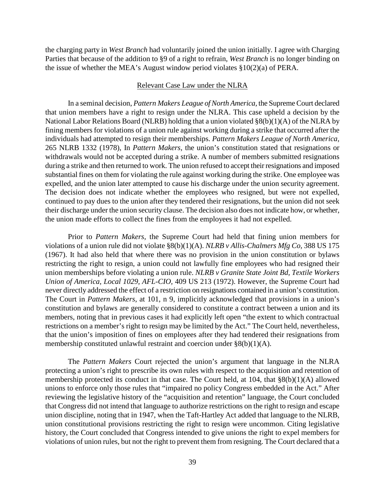the charging party in *West Branch* had voluntarily joined the union initially. I agree with Charging Parties that because of the addition to §9 of a right to refrain, *West Branch* is no longer binding on the issue of whether the MEA's August window period violates §10(2)(a) of PERA.

#### Relevant Case Law under the NLRA

In a seminal decision, *Pattern Makers League of North America,* the Supreme Court declared that union members have a right to resign under the NLRA. This case upheld a decision by the National Labor Relations Board (NLRB) holding that a union violated §8(b)(1)(A) of the NLRA by fining members for violations of a union rule against working during a strike that occurred after the individuals had attempted to resign their memberships. *Pattern Makers League of North America,*  265 NLRB 1332 (1978), In *Pattern Makers,* the union's constitution stated that resignations or withdrawals would not be accepted during a strike. A number of members submitted resignations during a strike and then returned to work. The union refused to accept their resignations and imposed substantial fines on them for violating the rule against working during the strike. One employee was expelled, and the union later attempted to cause his discharge under the union security agreement. The decision does not indicate whether the employees who resigned, but were not expelled, continued to pay dues to the union after they tendered their resignations, but the union did not seek their discharge under the union security clause. The decision also does not indicate how, or whether, the union made efforts to collect the fines from the employees it had not expelled.

Prior to *Pattern Makers,* the Supreme Court had held that fining union members for violations of a union rule did not violate §8(b)(1)(A). *NLRB v Allis-Chalmers Mfg Co,* 388 US 175 (1967). It had also held that where there was no provision in the union constitution or bylaws restricting the right to resign, a union could not lawfully fine employees who had resigned their union memberships before violating a union rule. *NLRB v Granite State Joint Bd, Textile Workers Union of America, Local 1029, AFL-CIO,* 409 US 213 (1972). However, the Supreme Court had never directly addressed the effect of a restriction on resignations contained in a union's constitution. The Court in *Pattern Makers*, at 101, n 9, implicitly acknowledged that provisions in a union's constitution and bylaws are generally considered to constitute a contract between a union and its members, noting that in previous cases it had explicitly left open "the extent to which contractual restrictions on a member's right to resign may be limited by the Act." The Court held, nevertheless, that the union's imposition of fines on employees after they had tendered their resignations from membership constituted unlawful restraint and coercion under §8(b)(1)(A).

The *Pattern Makers* Court rejected the union's argument that language in the NLRA protecting a union's right to prescribe its own rules with respect to the acquisition and retention of membership protected its conduct in that case. The Court held, at 104, that §8(b)(1)(A) allowed unions to enforce only those rules that "impaired no policy Congress embedded in the Act." After reviewing the legislative history of the "acquisition and retention" language, the Court concluded that Congress did not intend that language to authorize restrictions on the right to resign and escape union discipline, noting that in 1947, when the Taft-Hartley Act added that language to the NLRB, union constitutional provisions restricting the right to resign were uncommon. Citing legislative history, the Court concluded that Congress intended to give unions the right to expel members for violations of union rules, but not the right to prevent them from resigning. The Court declared that a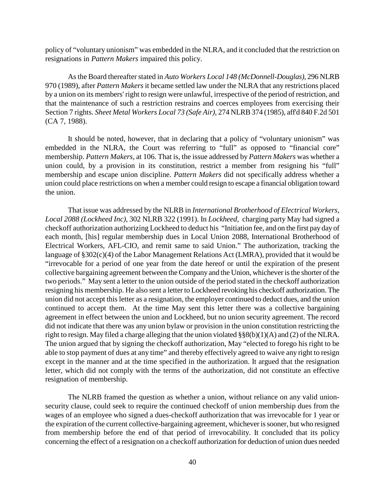policy of "voluntary unionism" was embedded in the NLRA, and it concluded that the restriction on resignations in *Pattern Makers* impaired this policy.

As the Board thereafter stated in *Auto Workers Local 148 (McDonnell-Douglas),* 296 NLRB 970 (1989), after *Pattern Makers* it became settled law under the NLRA that any restrictions placed by a union on its members' right to resign were unlawful, irrespective of the period of restriction, and that the maintenance of such a restriction restrains and coerces employees from exercising their Section 7 rights. *Sheet Metal Workers Local 73 (Safe Air)*, 274 NLRB 374 (1985), aff'd 840 F.2d 501 (CA 7, 1988).

It should be noted, however, that in declaring that a policy of "voluntary unionism" was embedded in the NLRA, the Court was referring to "full" as opposed to "financial core" membership. *Pattern Makers*, at 106. That is, the issue addressed by *Pattern Makers* was whether a union could, by a provision in its constitution, restrict a member from resigning his "full" membership and escape union discipline. *Pattern Makers* did not specifically address whether a union could place restrictions on when a member could resign to escape a financial obligation toward the union.

That issue was addressed by the NLRB in *International Brotherhood of Electrical Workers, Local 2088 (Lockheed Inc),* 302 NLRB 322 (1991). In *Lockheed,* charging party May had signed a checkoff authorization authorizing Lockheed to deduct his "Initiation fee, and on the first pay day of each month, [his] regular membership dues in Local Union 2088, International Brotherhood of Electrical Workers, AFL-CIO, and remit same to said Union." The authorization, tracking the language of §302(c)(4) of the Labor Management Relations Act (LMRA), provided that it would be "irrevocable for a period of one year from the date hereof or until the expiration of the present collective bargaining agreement between the Company and the Union, whichever is the shorter of the two periods." May sent a letter to the union outside of the period stated in the checkoff authorization resigning his membership. He also sent a letter to Lockheed revoking his checkoff authorization. The union did not accept this letter as a resignation, the employer continued to deduct dues, and the union continued to accept them. At the time May sent this letter there was a collective bargaining agreement in effect between the union and Lockheed, but no union security agreement. The record did not indicate that there was any union bylaw or provision in the union constitution restricting the right to resign. May filed a charge alleging that the union violated §§8(b)(1)(A) and (2) of the NLRA. The union argued that by signing the checkoff authorization, May "elected to forego his right to be able to stop payment of dues at any time" and thereby effectively agreed to waive any right to resign except in the manner and at the time specified in the authorization. It argued that the resignation letter, which did not comply with the terms of the authorization, did not constitute an effective resignation of membership.

The NLRB framed the question as whether a union, without reliance on any valid unionsecurity clause, could seek to require the continued checkoff of union membership dues from the wages of an employee who signed a dues-checkoff authorization that was irrevocable for 1 year or the expiration of the current collective-bargaining agreement, whichever is sooner, but who resigned from membership before the end of that period of irrevocability. It concluded that its policy concerning the effect of a resignation on a checkoff authorization for deduction of union dues needed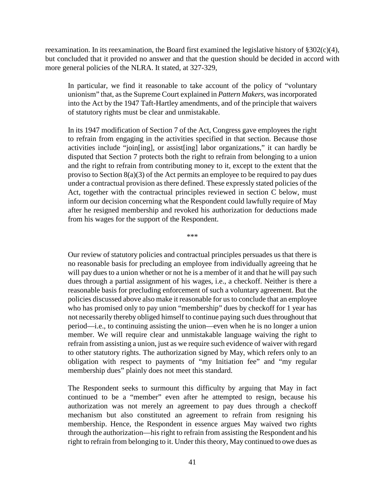reexamination. In its reexamination, the Board first examined the legislative history of  $\S 302(c)(4)$ , but concluded that it provided no answer and that the question should be decided in accord with more general policies of the NLRA. It stated, at 327-329,

In particular, we find it reasonable to take account of the policy of "voluntary unionism" that, as the Supreme Court explained in *Pattern Makers*, was incorporated into the Act by the 1947 Taft-Hartley amendments, and of the principle that waivers of statutory rights must be clear and unmistakable.

In its 1947 modification of Section 7 of the Act, Congress gave employees the right to refrain from engaging in the activities specified in that section. Because those activities include "join[ing], or assist[ing] labor organizations," it can hardly be disputed that Section 7 protects both the right to refrain from belonging to a union and the right to refrain from contributing money to it, except to the extent that the proviso to Section 8(a)(3) of the Act permits an employee to be required to pay dues under a contractual provision as there defined. These expressly stated policies of the Act, together with the contractual principles reviewed in section C below, must inform our decision concerning what the Respondent could lawfully require of May after he resigned membership and revoked his authorization for deductions made from his wages for the support of the Respondent.

\*\*\*

Our review of statutory policies and contractual principles persuades us that there is no reasonable basis for precluding an employee from individually agreeing that he will pay dues to a union whether or not he is a member of it and that he will pay such dues through a partial assignment of his wages, i.e., a checkoff. Neither is there a reasonable basis for precluding enforcement of such a voluntary agreement. But the policies discussed above also make it reasonable for us to conclude that an employee who has promised only to pay union "membership" dues by checkoff for 1 year has not necessarily thereby obliged himself to continue paying such dues throughout that period—i.e., to continuing assisting the union—even when he is no longer a union member. We will require clear and unmistakable language waiving the right to refrain from assisting a union, just as we require such evidence of waiver with regard to other statutory rights. The authorization signed by May, which refers only to an obligation with respect to payments of "my Initiation fee" and "my regular membership dues" plainly does not meet this standard.

The Respondent seeks to surmount this difficulty by arguing that May in fact continued to be a "member" even after he attempted to resign, because his authorization was not merely an agreement to pay dues through a checkoff mechanism but also constituted an agreement to refrain from resigning his membership. Hence, the Respondent in essence argues May waived two rights through the authorization—his right to refrain from assisting the Respondent and his right to refrain from belonging to it. Under this theory, May continued to owe dues as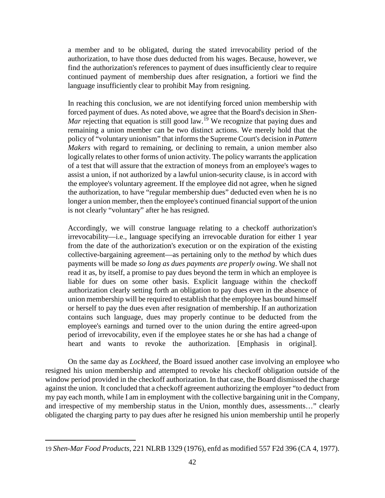a member and to be obligated, during the stated irrevocability period of the authorization, to have those dues deducted from his wages. Because, however, we find the authorization's references to payment of dues insufficiently clear to require continued payment of membership dues after resignation, a fortiori we find the language insufficiently clear to prohibit May from resigning.

In reaching this conclusion, we are not identifying forced union membership with forced payment of dues. As noted above, we agree that the Board's decision in *Shen-Mar* rejecting that equation is still good law.<sup>[19](#page-41-0)</sup> We recognize that paying dues and remaining a union member can be two distinct actions. We merely hold that the policy of "voluntary unionism" that informs the Supreme Court's decision in *Pattern Makers* with regard to remaining, or declining to remain, a union member also logically relates to other forms of union activity. The policy warrants the application of a test that will assure that the extraction of moneys from an employee's wages to assist a union, if not authorized by a lawful union-security clause, is in accord with the employee's voluntary agreement. If the employee did not agree, when he signed the authorization, to have "regular membership dues" deducted even when he is no longer a union member, then the employee's continued financial support of the union is not clearly "voluntary" after he has resigned.

Accordingly, we will construe language relating to a checkoff authorization's irrevocability—i.e., language specifying an irrevocable duration for either 1 year from the date of the authorization's execution or on the expiration of the existing collective-bargaining agreement—as pertaining only to the *method* by which dues payments will be made *so long as dues payments are properly owing*. We shall not read it as, by itself, a promise to pay dues beyond the term in which an employee is liable for dues on some other basis. Explicit language within the checkoff authorization clearly setting forth an obligation to pay dues even in the absence of union membership will be required to establish that the employee has bound himself or herself to pay the dues even after resignation of membership. If an authorization contains such language, dues may properly continue to be deducted from the employee's earnings and turned over to the union during the entire agreed-upon period of irrevocability, even if the employee states he or she has had a change of heart and wants to revoke the authorization. [Emphasis in original].

On the same day as *Lockheed,* the Board issued another case involving an employee who resigned his union membership and attempted to revoke his checkoff obligation outside of the window period provided in the checkoff authorization. In that case, the Board dismissed the charge against the union. It concluded that a checkoff agreement authorizing the employer "to deduct from my pay each month, while I am in employment with the collective bargaining unit in the Company, and irrespective of my membership status in the Union, monthly dues, assessments…" clearly obligated the charging party to pay dues after he resigned his union membership until he properly

<span id="page-41-0"></span><sup>19</sup> *Shen-Mar Food Products*, 221 NLRB 1329 (1976), enfd as modified 557 F2d 396 (CA 4, 1977).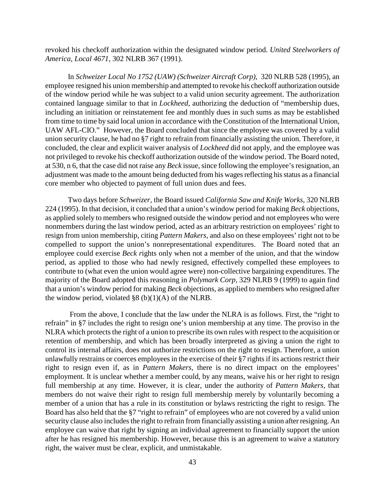revoked his checkoff authorization within the designated window period. *United Steelworkers of America, Local 4671,* 302 NLRB 367 (1991).

In *Schweizer Local No 1752 (UAW) (Schweizer Aircraft Corp),* 320 NLRB 528 (1995), an employee resigned his union membership and attempted to revoke his checkoff authorization outside of the window period while he was subject to a valid union security agreement. The authorization contained language similar to that in *Lockheed,* authorizing the deduction of "membership dues, including an initiation or reinstatement fee and monthly dues in such sums as may be established from time to time by said local union in accordance with the Constitution of the International Union, UAW AFL-CIO." However, the Board concluded that since the employee was covered by a valid union security clause, he had no §7 right to refrain from financially assisting the union. Therefore, it concluded, the clear and explicit waiver analysis of *Lockheed* did not apply, and the employee was not privileged to revoke his checkoff authorization outside of the window period. The Board noted, at 530, n 6, that the case did not raise any *Beck* issue, since following the employee's resignation, an adjustment was made to the amount being deducted from his wages reflecting his status as a financial core member who objected to payment of full union dues and fees.

Two days before *Schweizer,* the Board issued *California Saw and Knife Works,* 320 NLRB 224 (1995). In that decision, it concluded that a union's window period for making *Beck* objections, as applied solely to members who resigned outside the window period and not employees who were nonmembers during the last window period, acted as an arbitrary restriction on employees' right to resign from union membership, citing *Pattern Makers,* and also on these employees' right not to be compelled to support the union's nonrepresentational expenditures. The Board noted that an employee could exercise *Beck r*ights only when not a member of the union, and that the window period, as applied to those who had newly resigned, effectively compelled these employees to contribute to (what even the union would agree were) non-collective bargaining expenditures. The majority of the Board adopted this reasoning in *Polymark Corp,* 329 NLRB 9 (1999) to again find that a union's window period for making *Beck* objections, as applied to members who resigned after the window period, violated  $\S 8 (b)(1)(A)$  of the NLRB.

From the above, I conclude that the law under the NLRA is as follows. First, the "right to refrain" in §7 includes the right to resign one's union membership at any time. The proviso in the NLRA which protects the right of a union to prescribe its own rules with respect to the acquisition or retention of membership, and which has been broadly interpreted as giving a union the right to control its internal affairs, does not authorize restrictions on the right to resign. Therefore, a union unlawfully restrains or coerces employees in the exercise of their §7 rights if its actions restrict their right to resign even if, as in *Pattern Makers,* there is no direct impact on the employees' employment. It is unclear whether a member could, by any means, waive his or her right to resign full membership at any time. However, it is clear, under the authority of *Pattern Makers,* that members do not waive their right to resign full membership merely by voluntarily becoming a member of a union that has a rule in its constitution or bylaws restricting the right to resign. The Board has also held that the §7 "right to refrain" of employees who are not covered by a valid union security clause also includes the right to refrain from financially assisting a union after resigning. An employee can waive that right by signing an individual agreement to financially support the union after he has resigned his membership. However, because this is an agreement to waive a statutory right, the waiver must be clear, explicit, and unmistakable.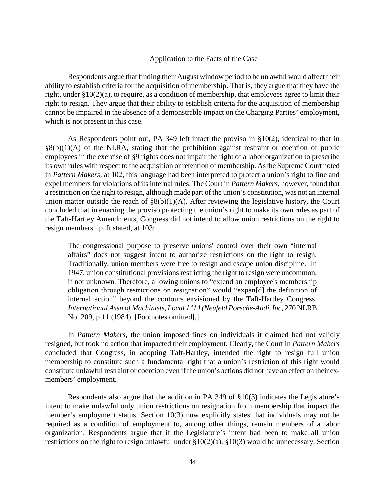### Application to the Facts of the Case

Respondents argue that finding their August window period to be unlawful would affect their ability to establish criteria for the acquisition of membership. That is, they argue that they have the right, under §10(2)(a), to require, as a condition of membership, that employees agree to limit their right to resign. They argue that their ability to establish criteria for the acquisition of membership cannot be impaired in the absence of a demonstrable impact on the Charging Parties' employment, which is not present in this case.

As Respondents point out, PA 349 left intact the proviso in §10(2), identical to that in  $\S(6)(1)(A)$  of the NLRA, stating that the prohibition against restraint or coercion of public employees in the exercise of §9 rights does not impair the right of a labor organization to prescribe its own rules with respect to the acquisition or retention of membership. As the Supreme Court noted in *Pattern Makers,* at 102, this language had been interpreted to protect a union's right to fine and expel members for violations of its internal rules. The Court in *Pattern Makers,* however, found that a restriction on the right to resign, although made part of the union's constitution, was not an internal union matter outside the reach of  $\S 8(b)(1)(A)$ . After reviewing the legislative history, the Court concluded that in enacting the proviso protecting the union's right to make its own rules as part of the Taft-Hartley Amendments, Congress did not intend to allow union restrictions on the right to resign membership. It stated, at 103:

The congressional purpose to preserve unions' control over their own "internal affairs" does not suggest intent to authorize restrictions on the right to resign. Traditionally, union members were free to resign and escape union discipline. In 1947, union constitutional provisions restricting the right to resign were uncommon, if not unknown. Therefore, allowing unions to "extend an employee's membership obligation through restrictions on resignation" would "expan[d] the definition of internal action" beyond the contours envisioned by the Taft-Hartley Congress. *International Assn of Machinists, Local 1414 (Neufeld Porsche-Audi, Inc,* 270 NLRB No. 209, p 11 (1984). [Footnotes omitted].]

In *Pattern Makers,* the union imposed fines on individuals it claimed had not validly resigned, but took no action that impacted their employment. Clearly, the Court in *Pattern Makers* concluded that Congress, in adopting Taft-Hartley, intended the right to resign full union membership to constitute such a fundamental right that a union's restriction of this right would constitute unlawful restraint or coercion even if the union's actions did not have an effect on their exmembers' employment.

Respondents also argue that the addition in PA 349 of §10(3) indicates the Legislature's intent to make unlawful only union restrictions on resignation from membership that impact the member's employment status. Section 10(3) now explicitly states that individuals may not be required as a condition of employment to, among other things, remain members of a labor organization. Respondents argue that if the Legislature's intent had been to make all union restrictions on the right to resign unlawful under §10(2)(a), §10(3) would be unnecessary. Section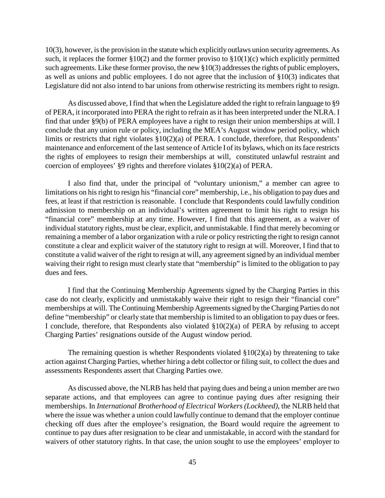10(3), however, is the provision in the statute which explicitly outlaws union security agreements. As such, it replaces the former  $\S 10(2)$  and the former proviso to  $\S 10(1)(c)$  which explicitly permitted such agreements. Like these former proviso, the new §10(3) addresses the rights of public employers, as well as unions and public employees. I do not agree that the inclusion of §10(3) indicates that Legislature did not also intend to bar unions from otherwise restricting its members right to resign.

As discussed above, I find that when the Legislature added the right to refrain language to §9 of PERA, it incorporated into PERA the right to refrain as it has been interpreted under the NLRA. I find that under §9(b) of PERA employees have a right to resign their union memberships at will. I conclude that any union rule or policy, including the MEA's August window period policy, which limits or restricts that right violates §10(2)(a) of PERA. I conclude, therefore, that Respondents' maintenance and enforcement of the last sentence of Article I of its bylaws, which on its face restricts the rights of employees to resign their memberships at will, constituted unlawful restraint and coercion of employees' §9 rights and therefore violates §10(2)(a) of PERA.

I also find that, under the principal of "voluntary unionism," a member can agree to limitations on his right to resign his "financial core" membership, i.e., his obligation to pay dues and fees, at least if that restriction is reasonable. I conclude that Respondents could lawfully condition admission to membership on an individual's written agreement to limit his right to resign his "financial core" membership at any time. However, I find that this agreement, as a waiver of individual statutory rights, must be clear, explicit, and unmistakable. I find that merely becoming or remaining a member of a labor organization with a rule or policy restricting the right to resign cannot constitute a clear and explicit waiver of the statutory right to resign at will. Moreover, I find that to constitute a valid waiver of the right to resign at will, any agreement signed by an individual member waiving their right to resign must clearly state that "membership" is limited to the obligation to pay dues and fees.

I find that the Continuing Membership Agreements signed by the Charging Parties in this case do not clearly, explicitly and unmistakably waive their right to resign their "financial core" memberships at will. The Continuing Membership Agreements signed by the Charging Parties do not define "membership" or clearly state that membership is limited to an obligation to pay dues or fees. I conclude, therefore, that Respondents also violated §10(2)(a) of PERA by refusing to accept Charging Parties' resignations outside of the August window period.

The remaining question is whether Respondents violated  $\S 10(2)(a)$  by threatening to take action against Charging Parties, whether hiring a debt collector or filing suit, to collect the dues and assessments Respondents assert that Charging Parties owe.

As discussed above, the NLRB has held that paying dues and being a union member are two separate actions, and that employees can agree to continue paying dues after resigning their memberships. In *International Brotherhood of Electrical Workers (Lockheed),* the NLRB held that where the issue was whether a union could lawfully continue to demand that the employer continue checking off dues after the employee's resignation, the Board would require the agreement to continue to pay dues after resignation to be clear and unmistakable, in accord with the standard for waivers of other statutory rights. In that case, the union sought to use the employees' employer to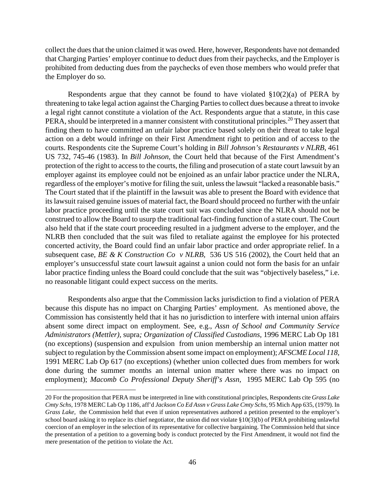collect the dues that the union claimed it was owed. Here, however, Respondents have not demanded that Charging Parties' employer continue to deduct dues from their paychecks, and the Employer is prohibited from deducting dues from the paychecks of even those members who would prefer that the Employer do so.

Respondents argue that they cannot be found to have violated  $\S 10(2)(a)$  of PERA by threatening to take legal action against the Charging Parties to collect dues because a threat to invoke a legal right cannot constitute a violation of the Act. Respondents argue that a statute, in this case PERA, should be interpreted in a manner consistent with constitutional principles.<sup>[20](#page-45-0)</sup> They assert that finding them to have committed an unfair labor practice based solely on their threat to take legal action on a debt would infringe on their First Amendment right to petition and of access to the courts. Respondents cite the Supreme Court's holding in *Bill Johnson's Restaurants v NLRB,* 461 US 732, 745-46 (1983). In *Bill Johnson*, the Court held that because of the First Amendment's protection of the right to access to the courts, the filing and prosecution of a state court lawsuit by an employer against its employee could not be enjoined as an unfair labor practice under the NLRA, regardless of the employer's motive for filing the suit, unless the lawsuit "lacked a reasonable basis." The Court stated that if the plaintiff in the lawsuit was able to present the Board with evidence that its lawsuit raised genuine issues of material fact, the Board should proceed no further with the unfair labor practice proceeding until the state court suit was concluded since the NLRA should not be construed to allow the Board to usurp the traditional fact-finding function of a state court. The Court also held that if the state court proceeding resulted in a judgment adverse to the employer, and the NLRB then concluded that the suit was filed to retaliate against the employee for his protected concerted activity, the Board could find an unfair labor practice and order appropriate relief. In a subsequent case, *BE & K Construction Co v NLRB,* 536 US 516 (2002), the Court held that an employer's unsuccessful state court lawsuit against a union could not form the basis for an unfair labor practice finding unless the Board could conclude that the suit was "objectively baseless," i.e. no reasonable litigant could expect success on the merits.

Respondents also argue that the Commission lacks jurisdiction to find a violation of PERA because this dispute has no impact on Charging Parties' employment. As mentioned above, the Commission has consistently held that it has no jurisdiction to interfere with internal union affairs absent some direct impact on employment. See, e.g., *Assn of School and Community Service Administrators (Mettler),* supra*; Organization of Classified Custodians,* 1996 MERC Lab Op 181 (no exceptions) (suspension and expulsion from union membership an internal union matter not subject to regulation by the Commission absent some impact on employment); *AFSCME Local 118,*  1991 MERC Lab Op 617 (no exceptions) (whether union collected dues from members for work done during the summer months an internal union matter where there was no impact on employment); *Macomb Co Professional Deputy Sheriff's Assn,* 1995 MERC Lab Op 595 (no

<span id="page-45-0"></span><sup>20</sup> For the proposition that PERA must be interpreted in line with constitutional principles, Respondents cite *Grass Lake Cmty Schs,* 1978 MERC Lab Op 1186, aff'd *Jackson Co Ed Assn v Grass Lake Cmty Schs,* 95 Mich App 635, (1979). In *Grass Lake,* the Commission held that even if union representatives authored a petition presented to the employer's school board asking it to replace its chief negotiator, the union did not violate §10(3)(b) of PERA prohibiting unlawful coercion of an employer in the selection of its representative for collective bargaining. The Commission held that since the presentation of a petition to a governing body is conduct protected by the First Amendment, it would not find the mere presentation of the petition to violate the Act.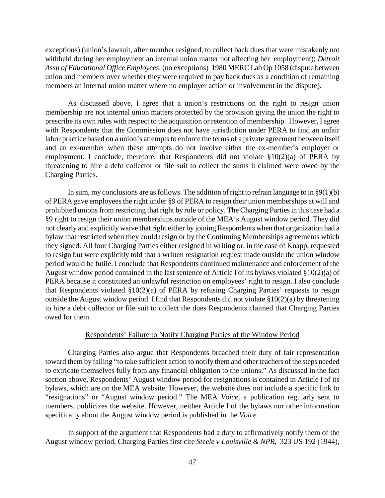exceptions) (union's lawsuit, after member resigned, to collect back dues that were mistakenly not withheld during her employment an internal union matter not affecting her employment); *Detroit Assn of Educational Office Employees,* (no exceptions) 1980 MERC Lab Op 1058 (dispute between union and members over whether they were required to pay back dues as a condition of remaining members an internal union matter where no employer action or involvement in the dispute).

As discussed above, I agree that a union's restrictions on the right to resign union membership are not internal union matters protected by the provision giving the union the right to prescribe its own rules with respect to the acquisition or retention of membership. However, I agree with Respondents that the Commission does not have jurisdiction under PERA to find an unfair labor practice based on a union's attempts to enforce the terms of a private agreement between itself and an ex-member when these attempts do not involve either the ex-member's employer or employment. I conclude, therefore, that Respondents did not violate §10(2)(a) of PERA by threatening to hire a debt collector or file suit to collect the sums it claimed were owed by the Charging Parties.

In sum, my conclusions are as follows. The addition of right to refrain language to in  $\S9(1)(b)$ of PERA gave employees the right under §9 of PERA to resign their union memberships at will and prohibited unions from restricting that right by rule or policy. The Charging Parties in this case had a §9 right to resign their union memberships outside of the MEA's August window period. They did not clearly and explicitly waive that right either by joining Respondents when that organization had a bylaw that restricted when they could resign or by the Continuing Memberships agreements which they signed. All four Charging Parties either resigned in writing or, in the case of Knapp, requested to resign but were explicitly told that a written resignation request made outside the union window period would be futile. I conclude that Respondents continued maintenance and enforcement of the August window period contained in the last sentence of Article I of its bylaws violated §10(2)(a) of PERA because it constituted an unlawful restriction on employees' right to resign. I also conclude that Respondents violated §10(2)(a) of PERA by refusing Charging Parties' requests to resign outside the August window period. I find that Respondents did not violate §10(2)(a) by threatening to hire a debt collector or file suit to collect the dues Respondents claimed that Charging Parties owed for them.

### Respondents' Failure to Notify Charging Parties of the Window Period

Charging Parties also argue that Respondents breached their duty of fair representation toward them by failing "to take sufficient action to notify them and other teachers of the steps needed to extricate themselves fully from any financial obligation to the unions." As discussed in the fact section above, Respondents' August window period for resignations is contained in Article I of its bylaws, which are on the MEA website. However, the website does not include a specific link to "resignations" or "August window period." The MEA *Voice,* a publication regularly sent to members, publicizes the website. However, neither Article I of the bylaws nor other information specifically about the August window period is published in the *Voice.*

In support of the argument that Respondents had a duty to affirmatively notify them of the August window period, Charging Parties first cite *Steele v Louisville & NPR,* 323 US 192 (1944),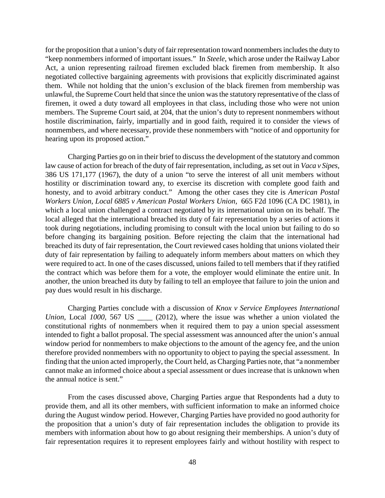for the proposition that a union's duty of fair representation toward nonmembers includes the duty to "keep nonmembers informed of important issues." In *Steele,* which arose under the Railway Labor Act, a union representing railroad firemen excluded black firemen from membership. It also negotiated collective bargaining agreements with provisions that explicitly discriminated against them. While not holding that the union's exclusion of the black firemen from membership was unlawful, the Supreme Court held that since the union was the statutory representative of the class of firemen, it owed a duty toward all employees in that class, including those who were not union members. The Supreme Court said, at 204, that the union's duty to represent nonmembers without hostile discrimination, fairly, impartially and in good faith, required it to consider the views of nonmembers, and where necessary, provide these nonmembers with "notice of and opportunity for hearing upon its proposed action."

Charging Parties go on in their brief to discuss the development of the statutory and common law cause of action for breach of the duty of fair representation, including, as set out in *Vaca v Sipes,*  386 US 171,177 (1967), the duty of a union "to serve the interest of all unit members without hostility or discrimination toward any, to exercise its discretion with complete good faith and honesty, and to avoid arbitrary conduct." Among the other cases they cite is *American Postal Workers Union, Local 6885 v American Postal Workers Union,* 665 F2d 1096 (CA DC 1981), in which a local union challenged a contract negotiated by its international union on its behalf. The local alleged that the international breached its duty of fair representation by a series of actions it took during negotiations, including promising to consult with the local union but failing to do so before changing its bargaining position. Before rejecting the claim that the international had breached its duty of fair representation, the Court reviewed cases holding that unions violated their duty of fair representation by failing to adequately inform members about matters on which they were required to act. In one of the cases discussed, unions failed to tell members that if they ratified the contract which was before them for a vote, the employer would eliminate the entire unit. In another, the union breached its duty by failing to tell an employee that failure to join the union and pay dues would result in his discharge.

Charging Parties conclude with a discussion of *Knox v Service Employees International Union, Local 1000, 567 US* \_\_\_\_ (2012), where the issue was whether a union violated the constitutional rights of nonmembers when it required them to pay a union special assessment intended to fight a ballot proposal. The special assessment was announced after the union's annual window period for nonmembers to make objections to the amount of the agency fee, and the union therefore provided nonmembers with no opportunity to object to paying the special assessment. In finding that the union acted improperly, the Court held, as Charging Parties note, that "a nonmember cannot make an informed choice about a special assessment or dues increase that is unknown when the annual notice is sent."

From the cases discussed above, Charging Parties argue that Respondents had a duty to provide them, and all its other members, with sufficient information to make an informed choice during the August window period. However, Charging Parties have provided no good authority for the proposition that a union's duty of fair representation includes the obligation to provide its members with information about how to go about resigning their memberships. A union's duty of fair representation requires it to represent employees fairly and without hostility with respect to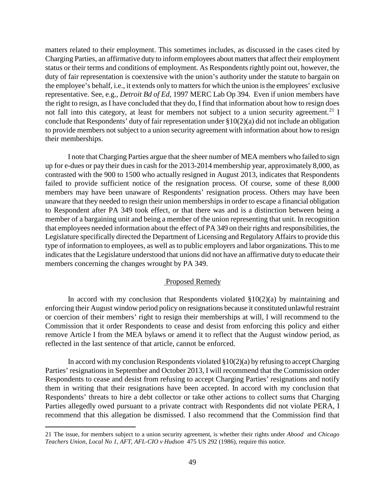matters related to their employment. This sometimes includes, as discussed in the cases cited by Charging Parties, an affirmative duty to inform employees about matters that affect their employment status or their terms and conditions of employment. As Respondents rightly point out, however, the duty of fair representation is coextensive with the union's authority under the statute to bargain on the employee's behalf, i.e., it extends only to matters for which the union is the employees' exclusive representative. See, e.g., *Detroit Bd of Ed,* 1997 MERC Lab Op 394. Even if union members have the right to resign, as I have concluded that they do, I find that information about how to resign does not fall into this category, at least for members not subject to a union security agreement.<sup>[21](#page-48-0)</sup> I conclude that Respondents' duty of fair representation under §10(2)(a) did not include an obligation to provide members not subject to a union security agreement with information about how to resign their memberships.

I note that Charging Parties argue that the sheer number of MEA members who failed to sign up for e-dues or pay their dues in cash for the 2013-2014 membership year, approximately 8,000, as contrasted with the 900 to 1500 who actually resigned in August 2013, indicates that Respondents failed to provide sufficient notice of the resignation process. Of course, some of these 8,000 members may have been unaware of Respondents' resignation process. Others may have been unaware that they needed to resign their union memberships in order to escape a financial obligation to Respondent after PA 349 took effect, or that there was and is a distinction between being a member of a bargaining unit and being a member of the union representing that unit. In recognition that employees needed information about the effect of PA 349 on their rights and responsibilities, the Legislature specifically directed the Department of Licensing and Regulatory Affairs to provide this type of information to employees, as well as to public employers and labor organizations. This to me indicates that the Legislature understood that unions did not have an affirmative duty to educate their members concerning the changes wrought by PA 349.

#### Proposed Remedy

In accord with my conclusion that Respondents violated  $\S 10(2)(a)$  by maintaining and enforcing their August window period policy on resignations because it constituted unlawful restraint or coercion of their members' right to resign their memberships at will, I will recommend to the Commission that it order Respondents to cease and desist from enforcing this policy and either remove Article I from the MEA bylaws or amend it to reflect that the August window period, as reflected in the last sentence of that article, cannot be enforced.

In accord with my conclusion Respondents violated  $\S 10(2)(a)$  by refusing to accept Charging Parties' resignations in September and October 2013, I will recommend that the Commission order Respondents to cease and desist from refusing to accept Charging Parties' resignations and notify them in writing that their resignations have been accepted. In accord with my conclusion that Respondents' threats to hire a debt collector or take other actions to collect sums that Charging Parties allegedly owed pursuant to a private contract with Respondents did not violate PERA, I recommend that this allegation be dismissed. I also recommend that the Commission find that

<span id="page-48-0"></span><sup>21</sup> The issue, for members subject to a union security agreement, is whether their rights under *Abood* and *Chicago Teachers Union, Local No 1, AFT, AFL-CIO v Hudson* 475 US 292 (1986), require this notice.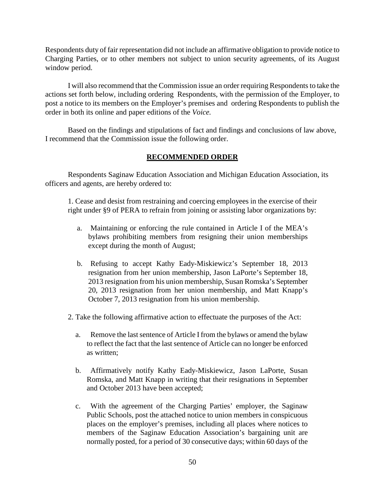Respondents duty of fair representation did not include an affirmative obligation to provide notice to Charging Parties, or to other members not subject to union security agreements, of its August window period.

I will also recommend that the Commission issue an order requiring Respondents to take the actions set forth below, including ordering Respondents, with the permission of the Employer, to post a notice to its members on the Employer's premises and ordering Respondents to publish the order in both its online and paper editions of the *Voice.*

Based on the findings and stipulations of fact and findings and conclusions of law above, I recommend that the Commission issue the following order.

## **RECOMMENDED ORDER**

Respondents Saginaw Education Association and Michigan Education Association, its officers and agents, are hereby ordered to:

1. Cease and desist from restraining and coercing employees in the exercise of their right under §9 of PERA to refrain from joining or assisting labor organizations by:

- a. Maintaining or enforcing the rule contained in Article I of the MEA's bylaws prohibiting members from resigning their union memberships except during the month of August;
- b. Refusing to accept Kathy Eady-Miskiewicz's September 18, 2013 resignation from her union membership, Jason LaPorte's September 18, 2013 resignation from his union membership, Susan Romska's September 20, 2013 resignation from her union membership, and Matt Knapp's October 7, 2013 resignation from his union membership.
- 2. Take the following affirmative action to effectuate the purposes of the Act:
	- a. Remove the last sentence of Article I from the bylaws or amend the bylaw to reflect the fact that the last sentence of Article can no longer be enforced as written;
	- b. Affirmatively notify Kathy Eady-Miskiewicz, Jason LaPorte, Susan Romska, and Matt Knapp in writing that their resignations in September and October 2013 have been accepted;
	- c. With the agreement of the Charging Parties' employer, the Saginaw Public Schools, post the attached notice to union members in conspicuous places on the employer's premises, including all places where notices to members of the Saginaw Education Association's bargaining unit are normally posted, for a period of 30 consecutive days; within 60 days of the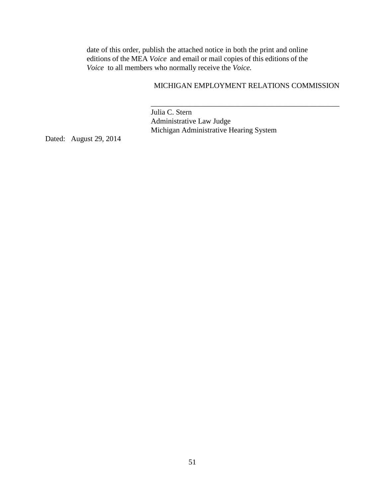date of this order, publish the attached notice in both the print and online editions of the MEA *Voice* and email or mail copies of this editions of the *Voice* to all members who normally receive the *Voice.*

### MICHIGAN EMPLOYMENT RELATIONS COMMISSION

\_\_\_\_\_\_\_\_\_\_\_\_\_\_\_\_\_\_\_\_\_\_\_\_\_\_\_\_\_\_\_\_\_\_\_\_\_\_\_\_\_\_\_\_\_\_\_\_\_\_

 Julia C. Stern Administrative Law Judge Michigan Administrative Hearing System

Dated: August 29, 2014